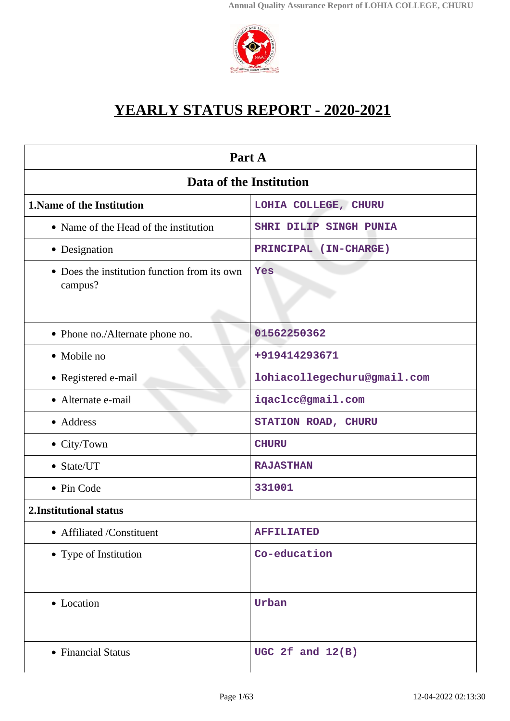

# **YEARLY STATUS REPORT - 2020-2021**

<span id="page-0-0"></span>

| Part A                                                  |                             |  |
|---------------------------------------------------------|-----------------------------|--|
| Data of the Institution                                 |                             |  |
| 1. Name of the Institution                              | LOHIA COLLEGE, CHURU        |  |
| • Name of the Head of the institution                   | SHRI DILIP SINGH PUNIA      |  |
| • Designation                                           | PRINCIPAL (IN-CHARGE)       |  |
| • Does the institution function from its own<br>campus? | Yes                         |  |
| • Phone no./Alternate phone no.                         | 01562250362                 |  |
| • Mobile no                                             | +919414293671               |  |
| • Registered e-mail                                     | lohiacollegechuru@gmail.com |  |
| • Alternate e-mail                                      | iqaclcc@gmail.com           |  |
| • Address                                               | STATION ROAD, CHURU         |  |
| $\bullet$ City/Town                                     | <b>CHURU</b>                |  |
| • State/UT                                              | <b>RAJASTHAN</b>            |  |
| • Pin Code                                              | 331001                      |  |
| 2. Institutional status                                 |                             |  |
| • Affiliated /Constituent                               | <b>AFFILIATED</b>           |  |
| • Type of Institution                                   | Co-education                |  |
| • Location                                              | Urban                       |  |
| • Financial Status                                      | UGC 2 $f$ and $12(B)$       |  |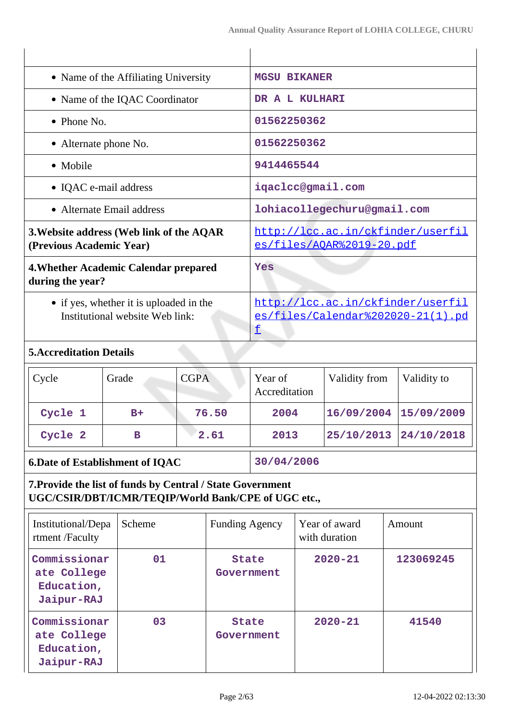| • Name of the Affiliating University                                       | <b>MGSU BIKANER</b>                                                         |
|----------------------------------------------------------------------------|-----------------------------------------------------------------------------|
| • Name of the IQAC Coordinator                                             | DR A L KULHARI                                                              |
| $\bullet$ Phone No.                                                        | 01562250362                                                                 |
| • Alternate phone No.                                                      | 01562250362                                                                 |
| • Mobile                                                                   | 9414465544                                                                  |
| • IQAC e-mail address                                                      | iqaclcc@gmail.com                                                           |
| • Alternate Email address                                                  | lohiacollegechuru@gmail.com                                                 |
| 3. Website address (Web link of the AQAR<br>(Previous Academic Year)       | http://lcc.ac.in/ckfinder/userfil<br>es/files/AQAR%2019-20.pdf              |
| 4. Whether Academic Calendar prepared<br>during the year?                  | Yes                                                                         |
| • if yes, whether it is uploaded in the<br>Institutional website Web link: | http://lcc.ac.in/ckfinder/userfil<br>es/files/Calendar%202020-21(1).pd<br>f |
| $E_A$ and $H_{A}$ $L_{A}$ $R_{A}$ $L_{B}$                                  |                                                                             |

## **5.Accreditation Details**

| $\vert$ Cycle | Grade | <b>CGPA</b> | Year of<br>Accreditation | Validity from | Validity to |
|---------------|-------|-------------|--------------------------|---------------|-------------|
| Cycle 1       | $B+$  | 76.50       | 2004                     | 16/09/2004    | 15/09/2009  |
| Cycle 2       | в     | 2.61        | 2013                     | 25/10/2013    | 24/10/2018  |

# **6.Date of Establishment of IQAC 30/04/2006**

# **7.Provide the list of funds by Central / State Government UGC/CSIR/DBT/ICMR/TEQIP/World Bank/CPE of UGC etc.,**

| Institutional/Depa<br>rtment/Faculty                    | Scheme | <b>Funding Agency</b>      | Year of award<br>with duration | Amount    |
|---------------------------------------------------------|--------|----------------------------|--------------------------------|-----------|
| Commissionar<br>ate College<br>Education,<br>Jaipur-RAJ | 01     | <b>State</b><br>Government | $2020 - 21$                    | 123069245 |
| Commissionar<br>ate College<br>Education,<br>Jaipur-RAJ | 03     | <b>State</b><br>Government | $2020 - 21$                    | 41540     |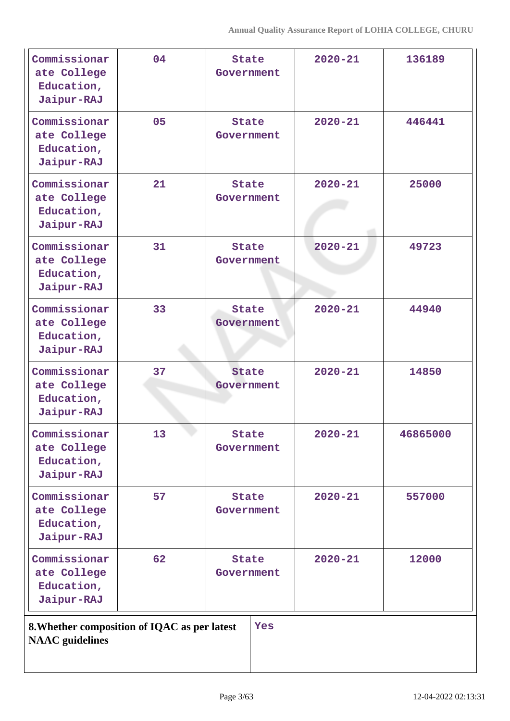| Commissionar<br>ate College<br>Education,<br>Jaipur-RAJ | 04                                           | <b>State</b><br>Government | $2020 - 21$ | 136189   |
|---------------------------------------------------------|----------------------------------------------|----------------------------|-------------|----------|
| Commissionar<br>ate College<br>Education,<br>Jaipur-RAJ | 05                                           | <b>State</b><br>Government | $2020 - 21$ | 446441   |
| Commissionar<br>ate College<br>Education,<br>Jaipur-RAJ | 21                                           | <b>State</b><br>Government | $2020 - 21$ | 25000    |
| Commissionar<br>ate College<br>Education,<br>Jaipur-RAJ | 31                                           | <b>State</b><br>Government | $2020 - 21$ | 49723    |
| Commissionar<br>ate College<br>Education,<br>Jaipur-RAJ | 33                                           | <b>State</b><br>Government | $2020 - 21$ | 44940    |
| Commissionar<br>ate College<br>Education,<br>Jaipur-RAJ | 37                                           | <b>State</b><br>Government | $2020 - 21$ | 14850    |
| Commissionar<br>ate College<br>Education,<br>Jaipur-RAJ | 13                                           | <b>State</b><br>Government | $2020 - 21$ | 46865000 |
| Commissionar<br>ate College<br>Education,<br>Jaipur-RAJ | 57                                           | <b>State</b><br>Government | $2020 - 21$ | 557000   |
| Commissionar<br>ate College<br>Education,<br>Jaipur-RAJ | 62                                           | <b>State</b><br>Government | $2020 - 21$ | 12000    |
| <b>NAAC</b> guidelines                                  | 8. Whether composition of IQAC as per latest | Yes                        |             |          |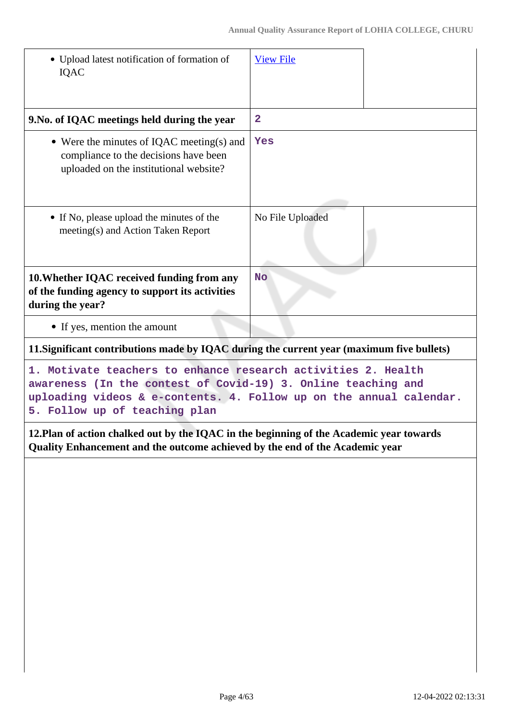| • Upload latest notification of formation of<br><b>IQAC</b>                                                                                                                                                                                                                                                                                         | <b>View File</b>                                   |  |
|-----------------------------------------------------------------------------------------------------------------------------------------------------------------------------------------------------------------------------------------------------------------------------------------------------------------------------------------------------|----------------------------------------------------|--|
| 9. No. of IQAC meetings held during the year                                                                                                                                                                                                                                                                                                        | $\overline{2}$                                     |  |
| • Were the minutes of IQAC meeting(s) and<br>compliance to the decisions have been<br>uploaded on the institutional website?                                                                                                                                                                                                                        | Yes                                                |  |
| • If No, please upload the minutes of the<br>meeting(s) and Action Taken Report                                                                                                                                                                                                                                                                     | No File Uploaded                                   |  |
| 10. Whether IQAC received funding from any<br>of the funding agency to support its activities<br>during the year?                                                                                                                                                                                                                                   | <b>No</b>                                          |  |
| • If yes, mention the amount                                                                                                                                                                                                                                                                                                                        |                                                    |  |
| 11. Significant contributions made by IQAC during the current year (maximum five bullets)                                                                                                                                                                                                                                                           |                                                    |  |
| 1. Motivate teachers to enhance research activities 2. Health<br>awareness (In the contest of Covid-19) 3. Online teaching and<br>uploading videos & e-contents. 4. Follow up on the annual calendar.<br>5. Follow up of teaching plan                                                                                                              |                                                    |  |
| $\sim$ $\sim$<br>$\mathbf{1}$ $\mathbf{0}$ $\mathbf{1}$ $\mathbf{1}$ $\mathbf{1}$ $\mathbf{1}$ $\mathbf{1}$ $\mathbf{1}$ $\mathbf{1}$ $\mathbf{1}$ $\mathbf{1}$ $\mathbf{1}$ $\mathbf{1}$ $\mathbf{1}$ $\mathbf{1}$ $\mathbf{1}$ $\mathbf{1}$ $\mathbf{1}$ $\mathbf{1}$ $\mathbf{1}$ $\mathbf{1}$ $\mathbf{1}$ $\mathbf{1}$ $\mathbf{1}$ $\mathbf{$ | $P \cup I$ $\longrightarrow$ $I$ $\longrightarrow$ |  |

**12.Plan of action chalked out by the IQAC in the beginning of the Academic year towards Quality Enhancement and the outcome achieved by the end of the Academic year**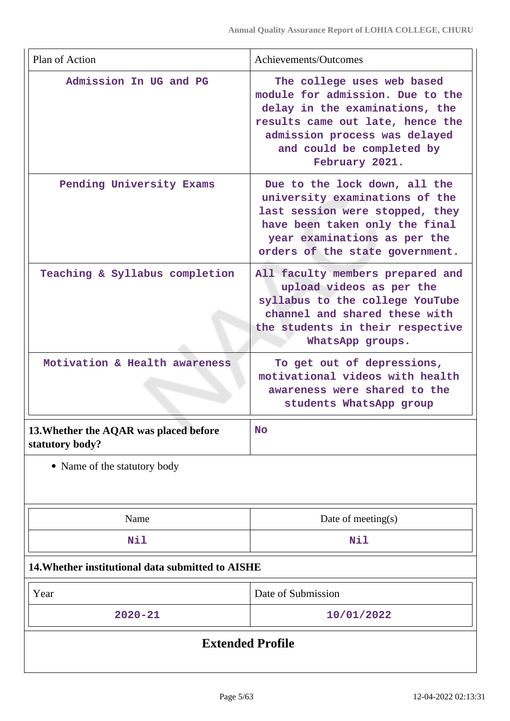| Plan of Action                                            | Achievements/Outcomes                                                                                                                                                                                                |  |
|-----------------------------------------------------------|----------------------------------------------------------------------------------------------------------------------------------------------------------------------------------------------------------------------|--|
| Admission In UG and PG                                    | The college uses web based<br>module for admission. Due to the<br>delay in the examinations, the<br>results came out late, hence the<br>admission process was delayed<br>and could be completed by<br>February 2021. |  |
| Pending University Exams                                  | Due to the lock down, all the<br>university examinations of the<br>last session were stopped, they<br>have been taken only the final<br>year examinations as per the<br>orders of the state government.              |  |
| Teaching & Syllabus completion                            | All faculty members prepared and<br>upload videos as per the<br>syllabus to the college YouTube<br>channel and shared these with<br>the students in their respective<br>WhatsApp groups.                             |  |
| Motivation & Health awareness                             | To get out of depressions,<br>motivational videos with health<br>awareness were shared to the<br>students WhatsApp group                                                                                             |  |
| 13. Whether the AQAR was placed before<br>statutory body? | <b>No</b>                                                                                                                                                                                                            |  |
| • Name of the statutory body                              |                                                                                                                                                                                                                      |  |
| Name                                                      | Date of meeting $(s)$                                                                                                                                                                                                |  |
| Nil                                                       | Nil                                                                                                                                                                                                                  |  |
| 14. Whether institutional data submitted to AISHE         |                                                                                                                                                                                                                      |  |
| Year                                                      | Date of Submission                                                                                                                                                                                                   |  |
| $2020 - 21$                                               | 10/01/2022                                                                                                                                                                                                           |  |
| <b>Extended Profile</b>                                   |                                                                                                                                                                                                                      |  |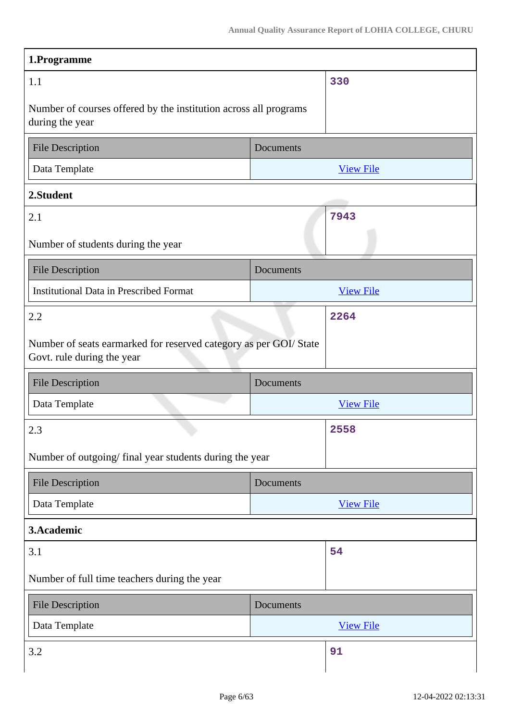| 1.Programme                                                                                     |                                                                  |  |  |
|-------------------------------------------------------------------------------------------------|------------------------------------------------------------------|--|--|
| 1.1                                                                                             | 330                                                              |  |  |
| during the year                                                                                 | Number of courses offered by the institution across all programs |  |  |
| <b>File Description</b>                                                                         | Documents                                                        |  |  |
| Data Template                                                                                   | <b>View File</b>                                                 |  |  |
| 2.Student                                                                                       |                                                                  |  |  |
| 2.1                                                                                             | 7943                                                             |  |  |
| Number of students during the year                                                              |                                                                  |  |  |
| <b>File Description</b>                                                                         | Documents                                                        |  |  |
| <b>Institutional Data in Prescribed Format</b>                                                  | <b>View File</b>                                                 |  |  |
| 2.2                                                                                             | 2264                                                             |  |  |
| Number of seats earmarked for reserved category as per GOI/ State<br>Govt. rule during the year |                                                                  |  |  |
| File Description                                                                                | Documents                                                        |  |  |
| Data Template                                                                                   | <b>View File</b>                                                 |  |  |
| 2.3                                                                                             | 2558                                                             |  |  |
| Number of outgoing/final year students during the year                                          |                                                                  |  |  |
| <b>File Description</b>                                                                         | Documents                                                        |  |  |
| Data Template                                                                                   | <b>View File</b>                                                 |  |  |
| 3.Academic                                                                                      |                                                                  |  |  |
| 3.1                                                                                             | 54                                                               |  |  |
| Number of full time teachers during the year                                                    |                                                                  |  |  |
| <b>File Description</b>                                                                         | Documents                                                        |  |  |
| Data Template                                                                                   | <b>View File</b>                                                 |  |  |
| 3.2                                                                                             | 91                                                               |  |  |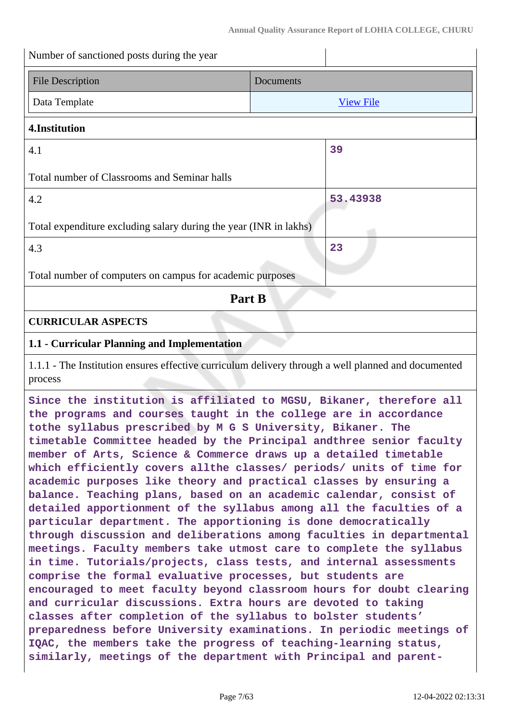| Number of sanctioned posts during the year                                                                                                                                                                                                                                                                                                                                                                                                                                                                                                                                                                                                                                                                                                                                                                                                                                                                                                                                                                                                                                                                                                                                                                                                                                                                                                                                                                                |           |                  |  |
|---------------------------------------------------------------------------------------------------------------------------------------------------------------------------------------------------------------------------------------------------------------------------------------------------------------------------------------------------------------------------------------------------------------------------------------------------------------------------------------------------------------------------------------------------------------------------------------------------------------------------------------------------------------------------------------------------------------------------------------------------------------------------------------------------------------------------------------------------------------------------------------------------------------------------------------------------------------------------------------------------------------------------------------------------------------------------------------------------------------------------------------------------------------------------------------------------------------------------------------------------------------------------------------------------------------------------------------------------------------------------------------------------------------------------|-----------|------------------|--|
| <b>File Description</b>                                                                                                                                                                                                                                                                                                                                                                                                                                                                                                                                                                                                                                                                                                                                                                                                                                                                                                                                                                                                                                                                                                                                                                                                                                                                                                                                                                                                   | Documents |                  |  |
| Data Template                                                                                                                                                                                                                                                                                                                                                                                                                                                                                                                                                                                                                                                                                                                                                                                                                                                                                                                                                                                                                                                                                                                                                                                                                                                                                                                                                                                                             |           | <b>View File</b> |  |
| 4.Institution                                                                                                                                                                                                                                                                                                                                                                                                                                                                                                                                                                                                                                                                                                                                                                                                                                                                                                                                                                                                                                                                                                                                                                                                                                                                                                                                                                                                             |           |                  |  |
| 4.1                                                                                                                                                                                                                                                                                                                                                                                                                                                                                                                                                                                                                                                                                                                                                                                                                                                                                                                                                                                                                                                                                                                                                                                                                                                                                                                                                                                                                       |           | 39               |  |
| Total number of Classrooms and Seminar halls                                                                                                                                                                                                                                                                                                                                                                                                                                                                                                                                                                                                                                                                                                                                                                                                                                                                                                                                                                                                                                                                                                                                                                                                                                                                                                                                                                              |           |                  |  |
| 4.2                                                                                                                                                                                                                                                                                                                                                                                                                                                                                                                                                                                                                                                                                                                                                                                                                                                                                                                                                                                                                                                                                                                                                                                                                                                                                                                                                                                                                       |           | 53.43938         |  |
| Total expenditure excluding salary during the year (INR in lakhs)                                                                                                                                                                                                                                                                                                                                                                                                                                                                                                                                                                                                                                                                                                                                                                                                                                                                                                                                                                                                                                                                                                                                                                                                                                                                                                                                                         |           |                  |  |
| 4.3                                                                                                                                                                                                                                                                                                                                                                                                                                                                                                                                                                                                                                                                                                                                                                                                                                                                                                                                                                                                                                                                                                                                                                                                                                                                                                                                                                                                                       |           | 23               |  |
| Total number of computers on campus for academic purposes                                                                                                                                                                                                                                                                                                                                                                                                                                                                                                                                                                                                                                                                                                                                                                                                                                                                                                                                                                                                                                                                                                                                                                                                                                                                                                                                                                 |           |                  |  |
| Part B                                                                                                                                                                                                                                                                                                                                                                                                                                                                                                                                                                                                                                                                                                                                                                                                                                                                                                                                                                                                                                                                                                                                                                                                                                                                                                                                                                                                                    |           |                  |  |
| <b>CURRICULAR ASPECTS</b>                                                                                                                                                                                                                                                                                                                                                                                                                                                                                                                                                                                                                                                                                                                                                                                                                                                                                                                                                                                                                                                                                                                                                                                                                                                                                                                                                                                                 |           |                  |  |
| 1.1 - Curricular Planning and Implementation                                                                                                                                                                                                                                                                                                                                                                                                                                                                                                                                                                                                                                                                                                                                                                                                                                                                                                                                                                                                                                                                                                                                                                                                                                                                                                                                                                              |           |                  |  |
| 1.1.1 - The Institution ensures effective curriculum delivery through a well planned and documented<br>process                                                                                                                                                                                                                                                                                                                                                                                                                                                                                                                                                                                                                                                                                                                                                                                                                                                                                                                                                                                                                                                                                                                                                                                                                                                                                                            |           |                  |  |
| Since the institution is affiliated to MGSU, Bikaner, therefore all<br>the programs and courses taught in the college are in accordance<br>tothe syllabus prescribed by M G S University, Bikaner. The<br>timetable Committee headed by the Principal andthree senior faculty<br>member of Arts, Science & Commerce draws up a detailed timetable<br>which efficiently covers allthe classes/ periods/ units of time for<br>academic purposes like theory and practical classes by ensuring a<br>balance. Teaching plans, based on an academic calendar, consist of<br>detailed apportionment of the syllabus among all the faculties of a<br>particular department. The apportioning is done democratically<br>through discussion and deliberations among faculties in departmental<br>meetings. Faculty members take utmost care to complete the syllabus<br>in time. Tutorials/projects, class tests, and internal assessments<br>comprise the formal evaluative processes, but students are<br>encouraged to meet faculty beyond classroom hours for doubt clearing<br>and curricular discussions. Extra hours are devoted to taking<br>classes after completion of the syllabus to bolster students'<br>preparedness before University examinations. In periodic meetings of<br>IQAC, the members take the progress of teaching-learning status,<br>similarly, meetings of the department with Principal and parent- |           |                  |  |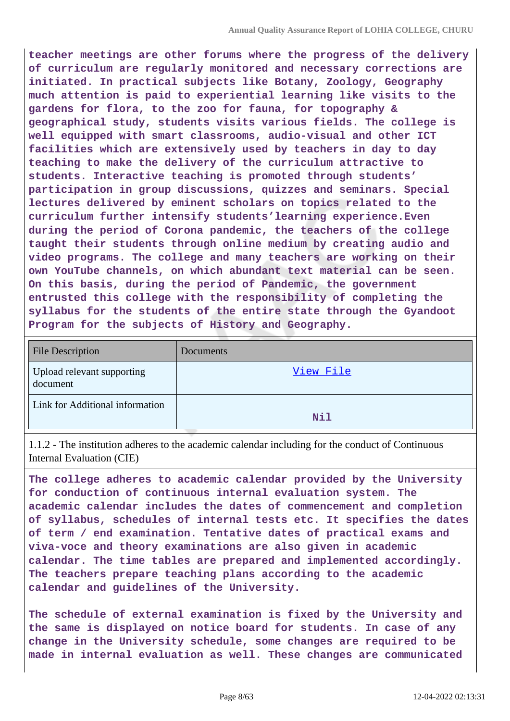**teacher meetings are other forums where the progress of the delivery of curriculum are regularly monitored and necessary corrections are initiated. In practical subjects like Botany, Zoology, Geography much attention is paid to experiential learning like visits to the gardens for flora, to the zoo for fauna, for topography & geographical study, students visits various fields. The college is well equipped with smart classrooms, audio-visual and other ICT facilities which are extensively used by teachers in day to day teaching to make the delivery of the curriculum attractive to students. Interactive teaching is promoted through students' participation in group discussions, quizzes and seminars. Special lectures delivered by eminent scholars on topics related to the curriculum further intensify students'learning experience.Even during the period of Corona pandemic, the teachers of the college taught their students through online medium by creating audio and video programs. The college and many teachers are working on their own YouTube channels, on which abundant text material can be seen. On this basis, during the period of Pandemic, the government entrusted this college with the responsibility of completing the syllabus for the students of the entire state through the Gyandoot Program for the subjects of History and Geography.**

| <b>File Description</b>                | Documents |
|----------------------------------------|-----------|
| Upload relevant supporting<br>document | View File |
| Link for Additional information        | Nil       |

1.1.2 - The institution adheres to the academic calendar including for the conduct of Continuous Internal Evaluation (CIE)

**The college adheres to academic calendar provided by the University for conduction of continuous internal evaluation system. The academic calendar includes the dates of commencement and completion of syllabus, schedules of internal tests etc. It specifies the dates of term / end examination. Tentative dates of practical exams and viva-voce and theory examinations are also given in academic calendar. The time tables are prepared and implemented accordingly. The teachers prepare teaching plans according to the academic calendar and guidelines of the University.**

**The schedule of external examination is fixed by the University and the same is displayed on notice board for students. In case of any change in the University schedule, some changes are required to be made in internal evaluation as well. These changes are communicated**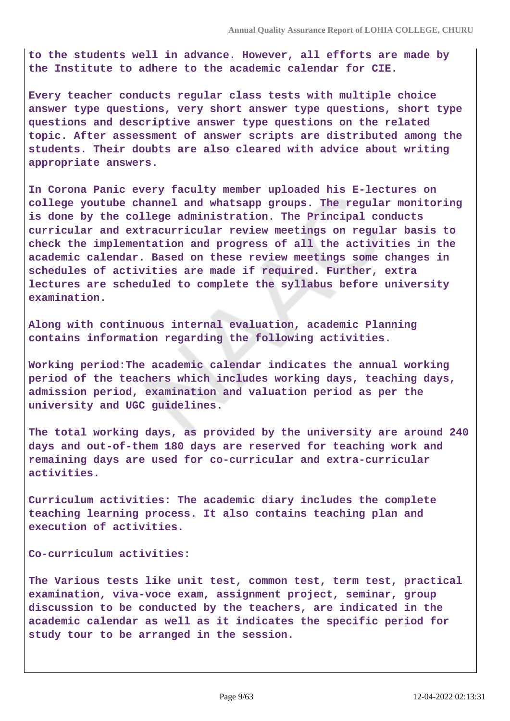**to the students well in advance. However, all efforts are made by the Institute to adhere to the academic calendar for CIE.**

**Every teacher conducts regular class tests with multiple choice answer type questions, very short answer type questions, short type questions and descriptive answer type questions on the related topic. After assessment of answer scripts are distributed among the students. Their doubts are also cleared with advice about writing appropriate answers.**

**In Corona Panic every faculty member uploaded his E-lectures on college youtube channel and whatsapp groups. The regular monitoring is done by the college administration. The Principal conducts curricular and extracurricular review meetings on regular basis to check the implementation and progress of all the activities in the academic calendar. Based on these review meetings some changes in schedules of activities are made if required. Further, extra lectures are scheduled to complete the syllabus before university examination.**

**Along with continuous internal evaluation, academic Planning contains information regarding the following activities.**

**Working period:The academic calendar indicates the annual working period of the teachers which includes working days, teaching days, admission period, examination and valuation period as per the university and UGC guidelines.**

**The total working days, as provided by the university are around 240 days and out-of-them 180 days are reserved for teaching work and remaining days are used for co-curricular and extra-curricular activities.**

**Curriculum activities: The academic diary includes the complete teaching learning process. It also contains teaching plan and execution of activities.**

**Co-curriculum activities:** 

**The Various tests like unit test, common test, term test, practical examination, viva-voce exam, assignment project, seminar, group discussion to be conducted by the teachers, are indicated in the academic calendar as well as it indicates the specific period for study tour to be arranged in the session.**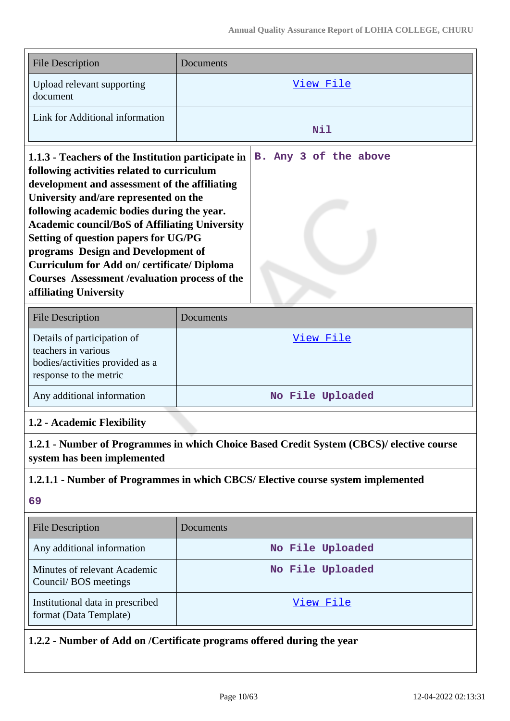| <b>File Description</b>                                                                                                                                                                                                                                                                                                                                                                                                                                                                                                  | Documents             |  |
|--------------------------------------------------------------------------------------------------------------------------------------------------------------------------------------------------------------------------------------------------------------------------------------------------------------------------------------------------------------------------------------------------------------------------------------------------------------------------------------------------------------------------|-----------------------|--|
| Upload relevant supporting<br>document                                                                                                                                                                                                                                                                                                                                                                                                                                                                                   | View File             |  |
| Link for Additional information                                                                                                                                                                                                                                                                                                                                                                                                                                                                                          | Nil                   |  |
| 1.1.3 - Teachers of the Institution participate in<br>following activities related to curriculum<br>development and assessment of the affiliating<br>University and/are represented on the<br>following academic bodies during the year.<br><b>Academic council/BoS of Affiliating University</b><br>Setting of question papers for UG/PG<br>programs Design and Development of<br><b>Curriculum for Add on/ certificate/ Diploma</b><br><b>Courses Assessment / evaluation process of the</b><br>affiliating University | B. Any 3 of the above |  |

| <b>File Description</b>                                                                                         | Documents        |
|-----------------------------------------------------------------------------------------------------------------|------------------|
| Details of participation of<br>teachers in various<br>bodies/activities provided as a<br>response to the metric | View File        |
| Any additional information                                                                                      | No File Uploaded |

#### **1.2 - Academic Flexibility**

**1.2.1 - Number of Programmes in which Choice Based Credit System (CBCS)/ elective course system has been implemented**

#### **1.2.1.1 - Number of Programmes in which CBCS/ Elective course system implemented**

#### **69**

| <b>File Description</b>                                    | Documents        |
|------------------------------------------------------------|------------------|
| Any additional information                                 | No File Uploaded |
| Minutes of relevant Academic<br>Council/BOS meetings       | No File Uploaded |
| Institutional data in prescribed<br>format (Data Template) | View File        |

# **1.2.2 - Number of Add on /Certificate programs offered during the year**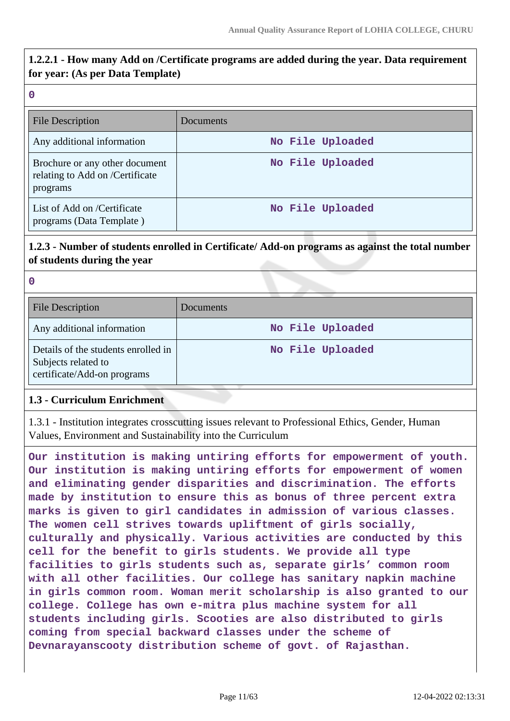# **1.2.2.1 - How many Add on /Certificate programs are added during the year. Data requirement for year: (As per Data Template)**

#### **0**

| <b>File Description</b>                                                       | Documents        |
|-------------------------------------------------------------------------------|------------------|
| Any additional information                                                    | No File Uploaded |
| Brochure or any other document<br>relating to Add on /Certificate<br>programs | No File Uploaded |
| List of Add on /Certificate<br>programs (Data Template)                       | No File Uploaded |

# **1.2.3 - Number of students enrolled in Certificate/ Add-on programs as against the total number of students during the year**

| -<br>۰. |  |
|---------|--|
|         |  |

| <b>File Description</b>                                                                   | <b>Documents</b> |
|-------------------------------------------------------------------------------------------|------------------|
| Any additional information                                                                | No File Uploaded |
| Details of the students enrolled in<br>Subjects related to<br>certificate/Add-on programs | No File Uploaded |

#### **1.3 - Curriculum Enrichment**

1.3.1 - Institution integrates crosscutting issues relevant to Professional Ethics, Gender, Human Values, Environment and Sustainability into the Curriculum

**Our institution is making untiring efforts for empowerment of youth. Our institution is making untiring efforts for empowerment of women and eliminating gender disparities and discrimination. The efforts made by institution to ensure this as bonus of three percent extra marks is given to girl candidates in admission of various classes. The women cell strives towards upliftment of girls socially, culturally and physically. Various activities are conducted by this cell for the benefit to girls students. We provide all type facilities to girls students such as, separate girls' common room with all other facilities. Our college has sanitary napkin machine in girls common room. Woman merit scholarship is also granted to our college. College has own e-mitra plus machine system for all students including girls. Scooties are also distributed to girls coming from special backward classes under the scheme of Devnarayanscooty distribution scheme of govt. of Rajasthan.**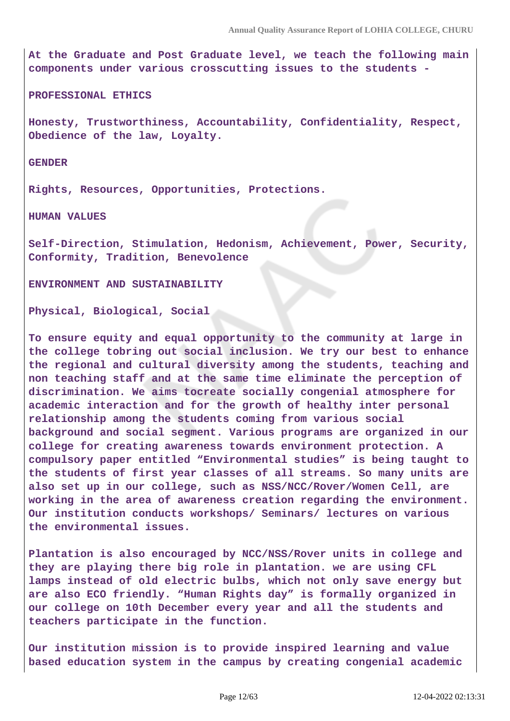**At the Graduate and Post Graduate level, we teach the following main components under various crosscutting issues to the students -**

**PROFESSIONAL ETHICS**

**Honesty, Trustworthiness, Accountability, Confidentiality, Respect, Obedience of the law, Loyalty.**

**GENDER**

**Rights, Resources, Opportunities, Protections.**

**HUMAN VALUES**

**Self-Direction, Stimulation, Hedonism, Achievement, Power, Security, Conformity, Tradition, Benevolence**

**ENVIRONMENT AND SUSTAINABILITY**

**Physical, Biological, Social**

**To ensure equity and equal opportunity to the community at large in the college tobring out social inclusion. We try our best to enhance the regional and cultural diversity among the students, teaching and non teaching staff and at the same time eliminate the perception of discrimination. We aims tocreate socially congenial atmosphere for academic interaction and for the growth of healthy inter personal relationship among the students coming from various social background and social segment. Various programs are organized in our college for creating awareness towards environment protection. A compulsory paper entitled "Environmental studies" is being taught to the students of first year classes of all streams. So many units are also set up in our college, such as NSS/NCC/Rover/Women Cell, are working in the area of awareness creation regarding the environment. Our institution conducts workshops/ Seminars/ lectures on various the environmental issues.**

**Plantation is also encouraged by NCC/NSS/Rover units in college and they are playing there big role in plantation. we are using CFL lamps instead of old electric bulbs, which not only save energy but are also ECO friendly. "Human Rights day" is formally organized in our college on 10th December every year and all the students and teachers participate in the function.**

**Our institution mission is to provide inspired learning and value based education system in the campus by creating congenial academic**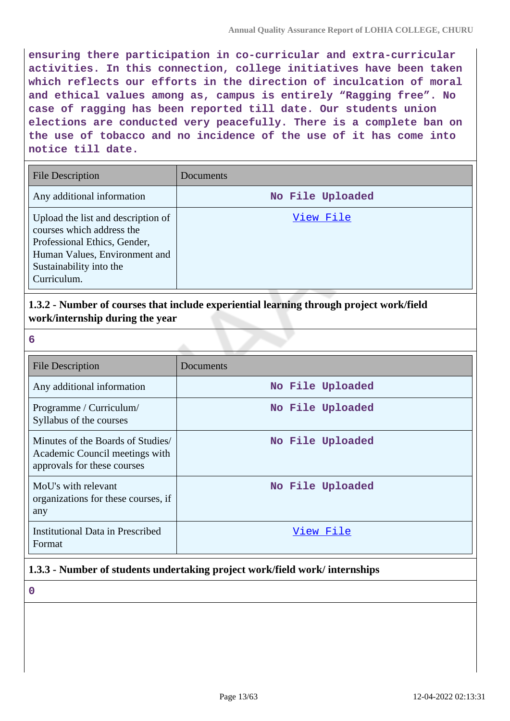**ensuring there participation in co-curricular and extra-curricular activities. In this connection, college initiatives have been taken which reflects our efforts in the direction of inculcation of moral and ethical values among as, campus is entirely "Ragging free". No case of ragging has been reported till date. Our students union elections are conducted very peacefully. There is a complete ban on the use of tobacco and no incidence of the use of it has come into notice till date.**

| <b>File Description</b>                                                                                                                                                    | Documents        |
|----------------------------------------------------------------------------------------------------------------------------------------------------------------------------|------------------|
| Any additional information                                                                                                                                                 | No File Uploaded |
| Upload the list and description of<br>courses which address the<br>Professional Ethics, Gender,<br>Human Values, Environment and<br>Sustainability into the<br>Curriculum. | View File        |

**1.3.2 - Number of courses that include experiential learning through project work/field work/internship during the year**

| 6                                                                                                  |                  |
|----------------------------------------------------------------------------------------------------|------------------|
| <b>File Description</b>                                                                            | Documents        |
| Any additional information                                                                         | No File Uploaded |
| Programme / Curriculum/<br>Syllabus of the courses                                                 | No File Uploaded |
| Minutes of the Boards of Studies/<br>Academic Council meetings with<br>approvals for these courses | No File Uploaded |
| MoU's with relevant<br>organizations for these courses, if<br>any                                  | No File Uploaded |
| <b>Institutional Data in Prescribed</b><br>Format                                                  | View File        |

# **1.3.3 - Number of students undertaking project work/field work/ internships**

**0**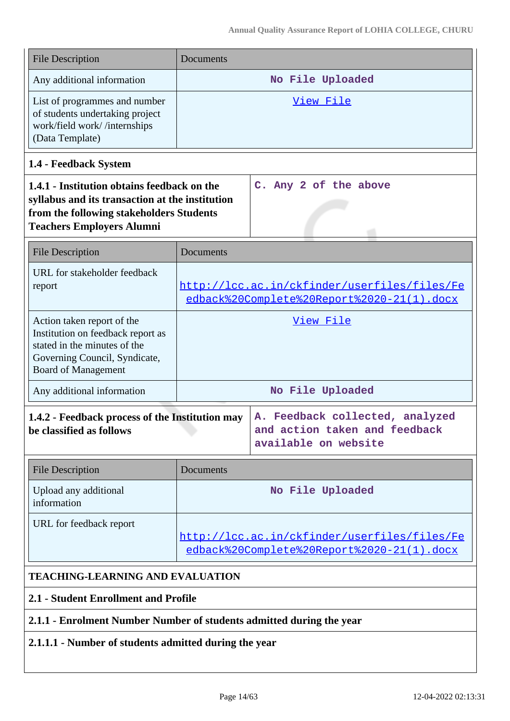| <b>File Description</b>                                                                                                                                                        | Documents        |                                                                                            |
|--------------------------------------------------------------------------------------------------------------------------------------------------------------------------------|------------------|--------------------------------------------------------------------------------------------|
| Any additional information                                                                                                                                                     |                  | No File Uploaded                                                                           |
| List of programmes and number<br>of students undertaking project<br>work/field work//internships<br>(Data Template)                                                            |                  | View File                                                                                  |
| 1.4 - Feedback System                                                                                                                                                          |                  |                                                                                            |
| 1.4.1 - Institution obtains feedback on the<br>syllabus and its transaction at the institution<br>from the following stakeholders Students<br><b>Teachers Employers Alumni</b> |                  | C. Any 2 of the above                                                                      |
| <b>File Description</b>                                                                                                                                                        | <b>Documents</b> |                                                                                            |
| URL for stakeholder feedback<br>report                                                                                                                                         |                  | http://lcc.ac.in/ckfinder/userfiles/files/Fe<br>edback%20Complete%20Report%2020-21(1).docx |
| Action taken report of the<br>Institution on feedback report as<br>stated in the minutes of the<br>Governing Council, Syndicate,<br><b>Board of Management</b>                 |                  | View File                                                                                  |
| Any additional information                                                                                                                                                     |                  | No File Uploaded                                                                           |
| 1.4.2 - Feedback process of the Institution may<br>be classified as follows                                                                                                    |                  | A. Feedback collected, analyzed<br>and action taken and feedback<br>available on website   |
| <b>File Description</b>                                                                                                                                                        | Documents        |                                                                                            |
| Upload any additional<br>information                                                                                                                                           |                  | No File Uploaded                                                                           |
| URL for feedback report                                                                                                                                                        |                  | http://lcc.ac.in/ckfinder/userfiles/files/Fe<br>edback%20Complete%20Report%2020-21(1).docx |
| <b>TEACHING-LEARNING AND EVALUATION</b>                                                                                                                                        |                  |                                                                                            |

# **2.1 - Student Enrollment and Profile**

# **2.1.1 - Enrolment Number Number of students admitted during the year**

# **2.1.1.1 - Number of students admitted during the year**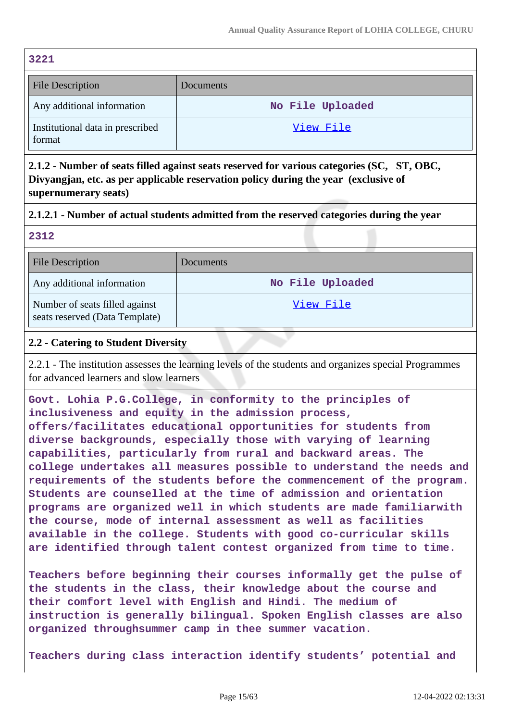| <b>File Description</b>                    | Documents        |
|--------------------------------------------|------------------|
| Any additional information                 | No File Uploaded |
| Institutional data in prescribed<br>format | View File        |

**2.1.2 - Number of seats filled against seats reserved for various categories (SC, ST, OBC, Divyangjan, etc. as per applicable reservation policy during the year (exclusive of supernumerary seats)**

#### **2.1.2.1 - Number of actual students admitted from the reserved categories during the year**

**2312**

| <b>File Description</b>                                          | Documents        |
|------------------------------------------------------------------|------------------|
| Any additional information                                       | No File Uploaded |
| Number of seats filled against<br>seats reserved (Data Template) | View File        |

#### **2.2 - Catering to Student Diversity**

2.2.1 - The institution assesses the learning levels of the students and organizes special Programmes for advanced learners and slow learners

**Govt. Lohia P.G.College, in conformity to the principles of inclusiveness and equity in the admission process, offers/facilitates educational opportunities for students from diverse backgrounds, especially those with varying of learning capabilities, particularly from rural and backward areas. The college undertakes all measures possible to understand the needs and requirements of the students before the commencement of the program. Students are counselled at the time of admission and orientation programs are organized well in which students are made familiarwith the course, mode of internal assessment as well as facilities available in the college. Students with good co-curricular skills are identified through talent contest organized from time to time.**

**Teachers before beginning their courses informally get the pulse of the students in the class, their knowledge about the course and their comfort level with English and Hindi. The medium of instruction is generally bilingual. Spoken English classes are also organized throughsummer camp in thee summer vacation.**

**Teachers during class interaction identify students' potential and**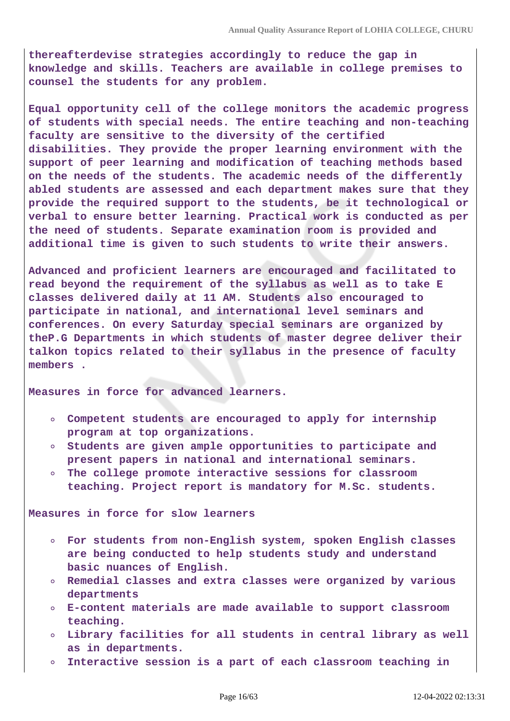**thereafterdevise strategies accordingly to reduce the gap in knowledge and skills. Teachers are available in college premises to counsel the students for any problem.**

**Equal opportunity cell of the college monitors the academic progress of students with special needs. The entire teaching and non-teaching faculty are sensitive to the diversity of the certified disabilities. They provide the proper learning environment with the support of peer learning and modification of teaching methods based on the needs of the students. The academic needs of the differently abled students are assessed and each department makes sure that they provide the required support to the students, be it technological or verbal to ensure better learning. Practical work is conducted as per the need of students. Separate examination room is provided and additional time is given to such students to write their answers.**

**Advanced and proficient learners are encouraged and facilitated to read beyond the requirement of the syllabus as well as to take E classes delivered daily at 11 AM. Students also encouraged to participate in national, and international level seminars and conferences. On every Saturday special seminars are organized by theP.G Departments in which students of master degree deliver their talkon topics related to their syllabus in the presence of faculty members .**

**Measures in force for advanced learners.** 

- **Competent students are encouraged to apply for internship program at top organizations.**
- **Students are given ample opportunities to participate and present papers in national and international seminars.**
- **The college promote interactive sessions for classroom**  $\circ$ **teaching. Project report is mandatory for M.Sc. students.**

**Measures in force for slow learners**

- **For students from non-English system, spoken English classes are being conducted to help students study and understand basic nuances of English.**
- **Remedial classes and extra classes were organized by various departments**
- **E-content materials are made available to support classroom teaching.**
- **Library facilities for all students in central library as well**  $\circ$ **as in departments.**
- **Interactive session is a part of each classroom teaching in**  $\circ$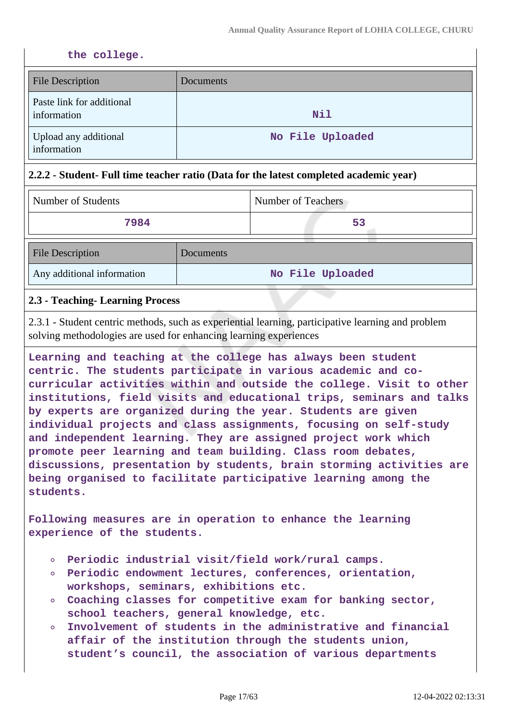#### **the college.**

| <b>File Description</b>                  | <b>Documents</b> |
|------------------------------------------|------------------|
| Paste link for additional<br>information | Nil              |
| Upload any additional<br>information     | No File Uploaded |

#### **2.2.2 - Student- Full time teacher ratio (Data for the latest completed academic year)**

|    | Number of Students |
|----|--------------------|
| 53 | 7984               |
|    |                    |

| <b>File Description</b>    | Documents        |
|----------------------------|------------------|
| Any additional information | No File Uploaded |

#### **2.3 - Teaching- Learning Process**

2.3.1 - Student centric methods, such as experiential learning, participative learning and problem solving methodologies are used for enhancing learning experiences

**Learning and teaching at the college has always been student centric. The students participate in various academic and cocurricular activities within and outside the college. Visit to other institutions, field visits and educational trips, seminars and talks by experts are organized during the year. Students are given individual projects and class assignments, focusing on self-study and independent learning. They are assigned project work which promote peer learning and team building. Class room debates, discussions, presentation by students, brain storming activities are being organised to facilitate participative learning among the students.**

**Following measures are in operation to enhance the learning experience of the students.**

- **Periodic industrial visit/field work/rural camps.**
- **Periodic endowment lectures, conferences, orientation, workshops, seminars, exhibitions etc.**
- **Coaching classes for competitive exam for banking sector, school teachers, general knowledge, etc.**
- **Involvement of students in the administrative and financial**  $\circ$ **affair of the institution through the students union, student's council, the association of various departments**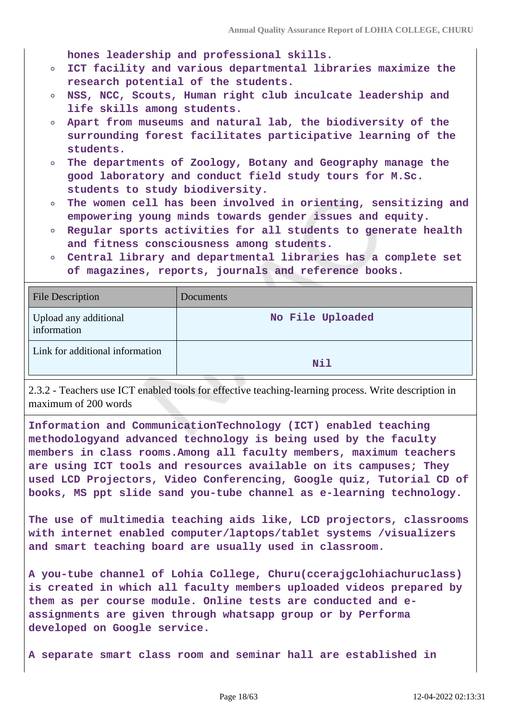**hones leadership and professional skills.**

- **ICT facility and various departmental libraries maximize the**  $\circ$ **research potential of the students.**
- **NSS, NCC, Scouts, Human right club inculcate leadership and life skills among students.**
- **Apart from museums and natural lab, the biodiversity of the surrounding forest facilitates participative learning of the students.**
- **The departments of Zoology, Botany and Geography manage the**  $\circ$ **good laboratory and conduct field study tours for M.Sc. students to study biodiversity.**
- **The women cell has been involved in orienting, sensitizing and**  $\circ$ **empowering young minds towards gender issues and equity.**
- **Regular sports activities for all students to generate health and fitness consciousness among students.**
- **Central library and departmental libraries has a complete set of magazines, reports, journals and reference books.**

| <b>File Description</b>              | <b>Documents</b> |
|--------------------------------------|------------------|
| Upload any additional<br>information | No File Uploaded |
| Link for additional information      | Nil              |

2.3.2 - Teachers use ICT enabled tools for effective teaching-learning process. Write description in maximum of 200 words

**Information and CommunicationTechnology (ICT) enabled teaching methodologyand advanced technology is being used by the faculty members in class rooms.Among all faculty members, maximum teachers are using ICT tools and resources available on its campuses; They used LCD Projectors, Video Conferencing, Google quiz, Tutorial CD of books, MS ppt slide sand you-tube channel as e-learning technology.**

**The use of multimedia teaching aids like, LCD projectors, classrooms with internet enabled computer/laptops/tablet systems /visualizers and smart teaching board are usually used in classroom.**

**A you-tube channel of Lohia College, Churu(ccerajgclohiachuruclass) is created in which all faculty members uploaded videos prepared by them as per course module. Online tests are conducted and eassignments are given through whatsapp group or by Performa developed on Google service.**

**A separate smart class room and seminar hall are established in**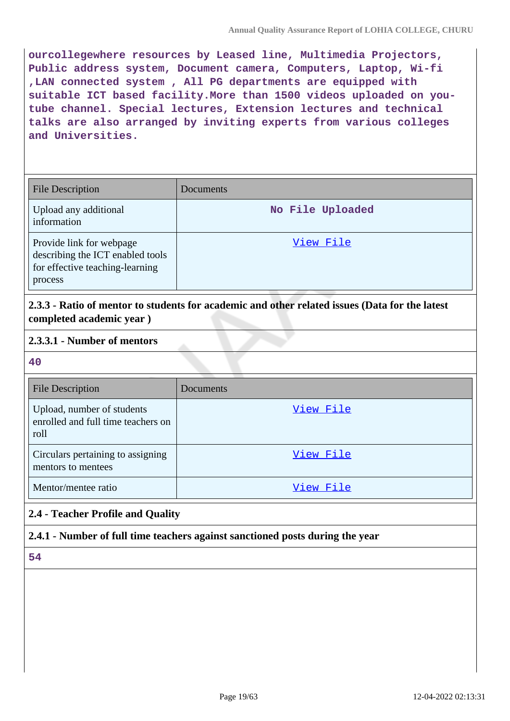**ourcollegewhere resources by Leased line, Multimedia Projectors, Public address system, Document camera, Computers, Laptop, Wi-fi ,LAN connected system , All PG departments are equipped with suitable ICT based facility.More than 1500 videos uploaded on youtube channel. Special lectures, Extension lectures and technical talks are also arranged by inviting experts from various colleges and Universities.**

| <b>File Description</b>                                                                                    | Documents        |
|------------------------------------------------------------------------------------------------------------|------------------|
| Upload any additional<br>information                                                                       | No File Uploaded |
| Provide link for webpage<br>describing the ICT enabled tools<br>for effective teaching-learning<br>process | View File        |

**2.3.3 - Ratio of mentor to students for academic and other related issues (Data for the latest completed academic year )**

#### **2.3.3.1 - Number of mentors**

#### **40**

| <b>File Description</b>                                                  | <b>Documents</b> |
|--------------------------------------------------------------------------|------------------|
| Upload, number of students<br>enrolled and full time teachers on<br>roll | View File        |
| Circulars pertaining to assigning<br>mentors to mentees                  | View File        |
| Mentor/mentee ratio                                                      | View File        |

## **2.4 - Teacher Profile and Quality**

#### **2.4.1 - Number of full time teachers against sanctioned posts during the year**

#### **54**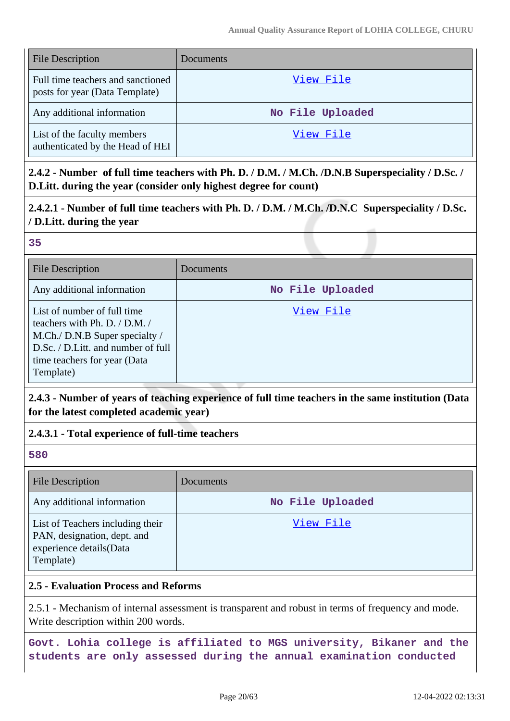| <b>File Description</b>                                             | Documents        |
|---------------------------------------------------------------------|------------------|
| Full time teachers and sanctioned<br>posts for year (Data Template) | View File        |
| Any additional information                                          | No File Uploaded |
| List of the faculty members<br>authenticated by the Head of HEI     | View File        |

**2.4.2 - Number of full time teachers with Ph. D. / D.M. / M.Ch. /D.N.B Superspeciality / D.Sc. / D.Litt. during the year (consider only highest degree for count)**

# **2.4.2.1 - Number of full time teachers with Ph. D. / D.M. / M.Ch. /D.N.C Superspeciality / D.Sc. / D.Litt. during the year**

#### **35**

| <b>File Description</b>                                                                                                                                                           | Documents        |
|-----------------------------------------------------------------------------------------------------------------------------------------------------------------------------------|------------------|
| Any additional information                                                                                                                                                        | No File Uploaded |
| List of number of full time<br>teachers with Ph. D. / D.M. /<br>M.Ch./ D.N.B Super specialty /<br>D.Sc. / D.Litt. and number of full<br>time teachers for year (Data<br>Template) | View File        |

## **2.4.3 - Number of years of teaching experience of full time teachers in the same institution (Data for the latest completed academic year)**

## **2.4.3.1 - Total experience of full-time teachers**

#### **580**

| <b>File Description</b>                                                                                 | Documents        |
|---------------------------------------------------------------------------------------------------------|------------------|
| Any additional information                                                                              | No File Uploaded |
| List of Teachers including their<br>PAN, designation, dept. and<br>experience details(Data<br>Template) | View File        |

## **2.5 - Evaluation Process and Reforms**

2.5.1 - Mechanism of internal assessment is transparent and robust in terms of frequency and mode. Write description within 200 words.

**Govt. Lohia college is affiliated to MGS university, Bikaner and the students are only assessed during the annual examination conducted**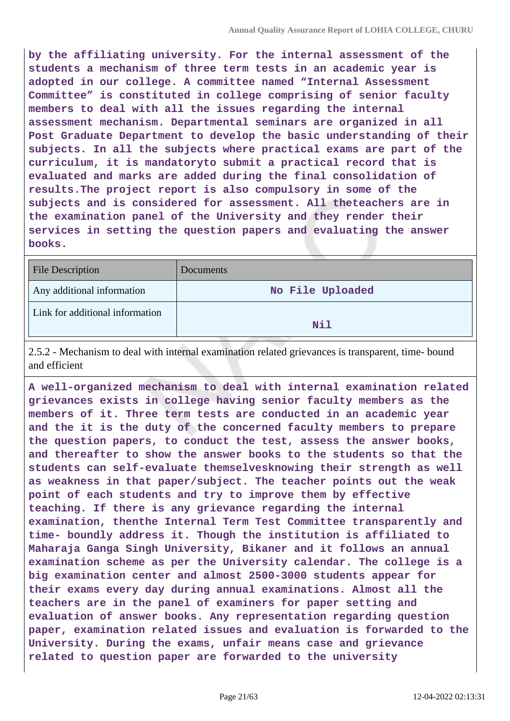**by the affiliating university. For the internal assessment of the students a mechanism of three term tests in an academic year is adopted in our college. A committee named "Internal Assessment Committee" is constituted in college comprising of senior faculty members to deal with all the issues regarding the internal assessment mechanism. Departmental seminars are organized in all Post Graduate Department to develop the basic understanding of their subjects. In all the subjects where practical exams are part of the curriculum, it is mandatoryto submit a practical record that is evaluated and marks are added during the final consolidation of results.The project report is also compulsory in some of the subjects and is considered for assessment. All theteachers are in the examination panel of the University and they render their services in setting the question papers and evaluating the answer books.**

| File Description                | Documents        |
|---------------------------------|------------------|
| Any additional information      | No File Uploaded |
| Link for additional information | Nil              |

2.5.2 - Mechanism to deal with internal examination related grievances is transparent, time- bound and efficient

**A well-organized mechanism to deal with internal examination related grievances exists in college having senior faculty members as the members of it. Three term tests are conducted in an academic year and the it is the duty of the concerned faculty members to prepare the question papers, to conduct the test, assess the answer books, and thereafter to show the answer books to the students so that the students can self-evaluate themselvesknowing their strength as well as weakness in that paper/subject. The teacher points out the weak point of each students and try to improve them by effective teaching. If there is any grievance regarding the internal examination, thenthe Internal Term Test Committee transparently and time- boundly address it. Though the institution is affiliated to Maharaja Ganga Singh University, Bikaner and it follows an annual examination scheme as per the University calendar. The college is a big examination center and almost 2500-3000 students appear for their exams every day during annual examinations. Almost all the teachers are in the panel of examiners for paper setting and evaluation of answer books. Any representation regarding question paper, examination related issues and evaluation is forwarded to the University. During the exams, unfair means case and grievance related to question paper are forwarded to the university**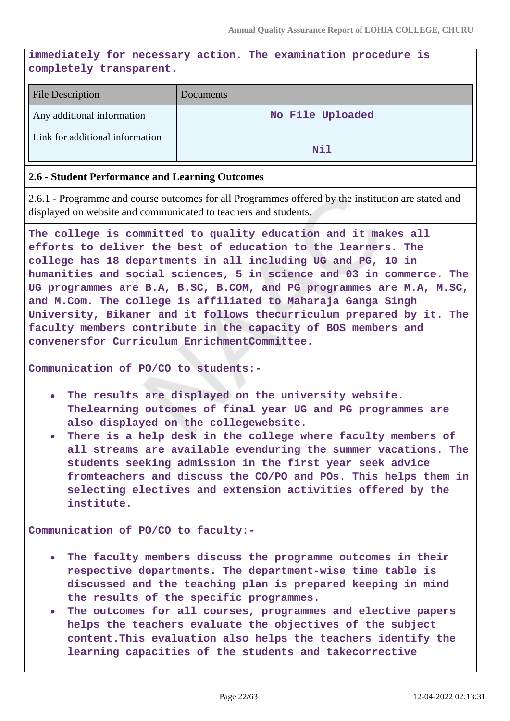#### **immediately for necessary action. The examination procedure is completely transparent.**

| <b>File Description</b>         | Documents        |
|---------------------------------|------------------|
| Any additional information      | No File Uploaded |
| Link for additional information | Nil              |

#### **2.6 - Student Performance and Learning Outcomes**

2.6.1 - Programme and course outcomes for all Programmes offered by the institution are stated and displayed on website and communicated to teachers and students.

**The college is committed to quality education and it makes all efforts to deliver the best of education to the learners. The college has 18 departments in all including UG and PG, 10 in humanities and social sciences, 5 in science and 03 in commerce. The UG programmes are B.A, B.SC, B.COM, and PG programmes are M.A, M.SC, and M.Com. The college is affiliated to Maharaja Ganga Singh University, Bikaner and it follows thecurriculum prepared by it. The faculty members contribute in the capacity of BOS members and convenersfor Curriculum EnrichmentCommittee.**

**Communication of PO/CO to students:-**

- **The results are displayed on the university website.**  $\bullet$ **Thelearning outcomes of final year UG and PG programmes are also displayed on the collegewebsite.**
- **There is a help desk in the college where faculty members of**  $\bullet$ **all streams are available evenduring the summer vacations. The students seeking admission in the first year seek advice fromteachers and discuss the CO/PO and POs. This helps them in selecting electives and extension activities offered by the institute.**

**Communication of PO/CO to faculty:-**

- **The faculty members discuss the programme outcomes in their respective departments. The department-wise time table is discussed and the teaching plan is prepared keeping in mind the results of the specific programmes.**
- $\bullet$ **The outcomes for all courses, programmes and elective papers helps the teachers evaluate the objectives of the subject content.This evaluation also helps the teachers identify the learning capacities of the students and takecorrective**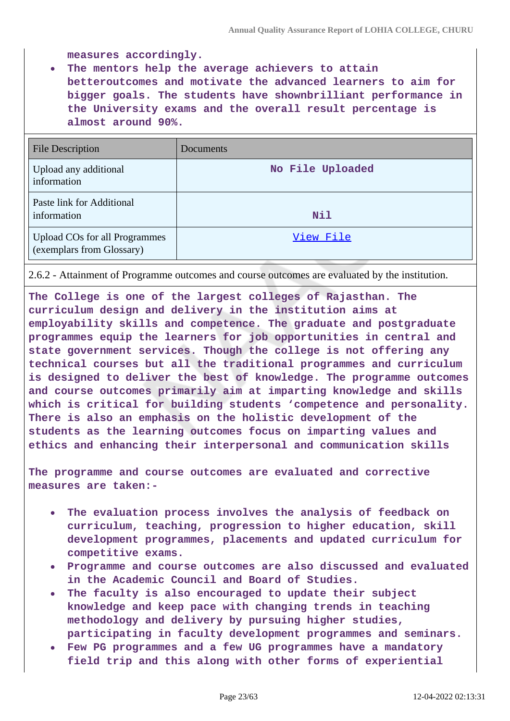**measures accordingly.**

**The mentors help the average achievers to attain**  $\bullet$ **betteroutcomes and motivate the advanced learners to aim for bigger goals. The students have shownbrilliant performance in the University exams and the overall result percentage is almost around 90%.**

| <b>File Description</b>                                           | Documents        |
|-------------------------------------------------------------------|------------------|
| Upload any additional<br>information                              | No File Uploaded |
| Paste link for Additional<br>information                          | Nil              |
| <b>Upload COs for all Programmes</b><br>(exemplars from Glossary) | View File        |

2.6.2 - Attainment of Programme outcomes and course outcomes are evaluated by the institution.

**The College is one of the largest colleges of Rajasthan. The curriculum design and delivery in the institution aims at employability skills and competence. The graduate and postgraduate programmes equip the learners for job opportunities in central and state government services. Though the college is not offering any technical courses but all the traditional programmes and curriculum is designed to deliver the best of knowledge. The programme outcomes and course outcomes primarily aim at imparting knowledge and skills which is critical for building students 'competence and personality. There is also an emphasis on the holistic development of the students as the learning outcomes focus on imparting values and ethics and enhancing their interpersonal and communication skills**

**The programme and course outcomes are evaluated and corrective measures are taken:-**

- **The evaluation process involves the analysis of feedback on curriculum, teaching, progression to higher education, skill development programmes, placements and updated curriculum for competitive exams.**
- **Programme and course outcomes are also discussed and evaluated in the Academic Council and Board of Studies.**
- **The faculty is also encouraged to update their subject knowledge and keep pace with changing trends in teaching methodology and delivery by pursuing higher studies, participating in faculty development programmes and seminars.**
- **Few PG programmes and a few UG programmes have a mandatory field trip and this along with other forms of experiential**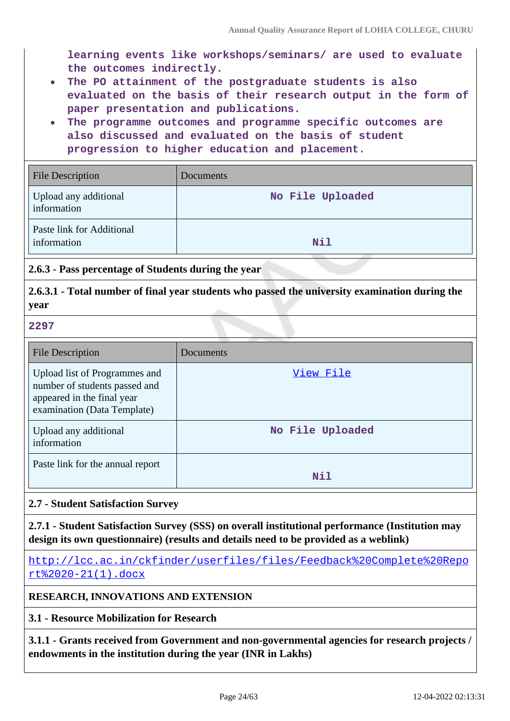**learning events like workshops/seminars/ are used to evaluate the outcomes indirectly.**

- **The PO attainment of the postgraduate students is also**  $\bullet$ **evaluated on the basis of their research output in the form of paper presentation and publications.**
- **The programme outcomes and programme specific outcomes are also discussed and evaluated on the basis of student progression to higher education and placement.**

| <b>File Description</b>                  | Documents        |
|------------------------------------------|------------------|
| Upload any additional<br>information     | No File Uploaded |
| Paste link for Additional<br>information | Nil              |

#### **2.6.3 - Pass percentage of Students during the year**

#### **2.6.3.1 - Total number of final year students who passed the university examination during the year**

#### **2297**

| <b>File Description</b>                                                                                                     | Documents        |
|-----------------------------------------------------------------------------------------------------------------------------|------------------|
| Upload list of Programmes and<br>number of students passed and<br>appeared in the final year<br>examination (Data Template) | View File        |
| Upload any additional<br>information                                                                                        | No File Uploaded |
| Paste link for the annual report                                                                                            | Nil              |

#### **2.7 - Student Satisfaction Survey**

**2.7.1 - Student Satisfaction Survey (SSS) on overall institutional performance (Institution may design its own questionnaire) (results and details need to be provided as a weblink)**

[http://lcc.ac.in/ckfinder/userfiles/files/Feedback%20Complete%20Repo](http://lcc.ac.in/ckfinder/userfiles/files/Feedback%20Complete%20Report%2020-21(1).docx) [rt%2020-21\(1\).docx](http://lcc.ac.in/ckfinder/userfiles/files/Feedback%20Complete%20Report%2020-21(1).docx)

#### **RESEARCH, INNOVATIONS AND EXTENSION**

#### **3.1 - Resource Mobilization for Research**

**3.1.1 - Grants received from Government and non-governmental agencies for research projects / endowments in the institution during the year (INR in Lakhs)**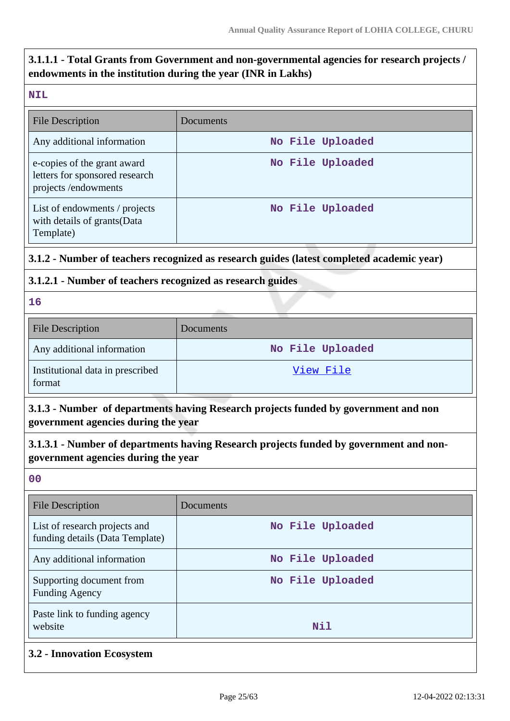# **3.1.1.1 - Total Grants from Government and non-governmental agencies for research projects / endowments in the institution during the year (INR in Lakhs)**

#### **NIL**

| <b>File Description</b>                                                              | Documents        |
|--------------------------------------------------------------------------------------|------------------|
| Any additional information                                                           | No File Uploaded |
| e-copies of the grant award<br>letters for sponsored research<br>projects/endowments | No File Uploaded |
| List of endowments / projects<br>with details of grants (Data<br>Template)           | No File Uploaded |

## **3.1.2 - Number of teachers recognized as research guides (latest completed academic year)**

## **3.1.2.1 - Number of teachers recognized as research guides**

**16**

| <b>File Description</b>                    | <b>Documents</b> |
|--------------------------------------------|------------------|
| Any additional information                 | No File Uploaded |
| Institutional data in prescribed<br>format | View File        |

# **3.1.3 - Number of departments having Research projects funded by government and non government agencies during the year**

# **3.1.3.1 - Number of departments having Research projects funded by government and nongovernment agencies during the year**

**00**

| File Description                                                 | Documents        |
|------------------------------------------------------------------|------------------|
| List of research projects and<br>funding details (Data Template) | No File Uploaded |
| Any additional information                                       | No File Uploaded |
| Supporting document from<br><b>Funding Agency</b>                | No File Uploaded |
| Paste link to funding agency<br>website                          | Nil              |

**3.2 - Innovation Ecosystem**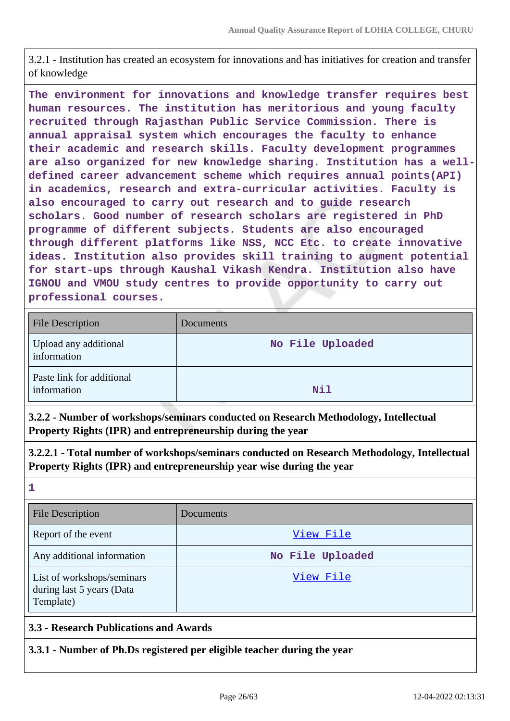3.2.1 - Institution has created an ecosystem for innovations and has initiatives for creation and transfer of knowledge

**The environment for innovations and knowledge transfer requires best human resources. The institution has meritorious and young faculty recruited through Rajasthan Public Service Commission. There is annual appraisal system which encourages the faculty to enhance their academic and research skills. Faculty development programmes are also organized for new knowledge sharing. Institution has a welldefined career advancement scheme which requires annual points(API) in academics, research and extra-curricular activities. Faculty is also encouraged to carry out research and to guide research scholars. Good number of research scholars are registered in PhD programme of different subjects. Students are also encouraged through different platforms like NSS, NCC Etc. to create innovative ideas. Institution also provides skill training to augment potential for start-ups through Kaushal Vikash Kendra. Institution also have IGNOU and VMOU study centres to provide opportunity to carry out professional courses.**

| <b>File Description</b>                  | Documents        |
|------------------------------------------|------------------|
| Upload any additional<br>information     | No File Uploaded |
| Paste link for additional<br>information | Nil              |

**3.2.2 - Number of workshops/seminars conducted on Research Methodology, Intellectual Property Rights (IPR) and entrepreneurship during the year**

**3.2.2.1 - Total number of workshops/seminars conducted on Research Methodology, Intellectual Property Rights (IPR) and entrepreneurship year wise during the year**

**1**

| <b>File Description</b>                                              | <b>Documents</b> |
|----------------------------------------------------------------------|------------------|
| Report of the event                                                  | View File        |
| Any additional information                                           | No File Uploaded |
| List of workshops/seminars<br>during last 5 years (Data<br>Template) | View File        |

#### **3.3 - Research Publications and Awards**

**3.3.1 - Number of Ph.Ds registered per eligible teacher during the year**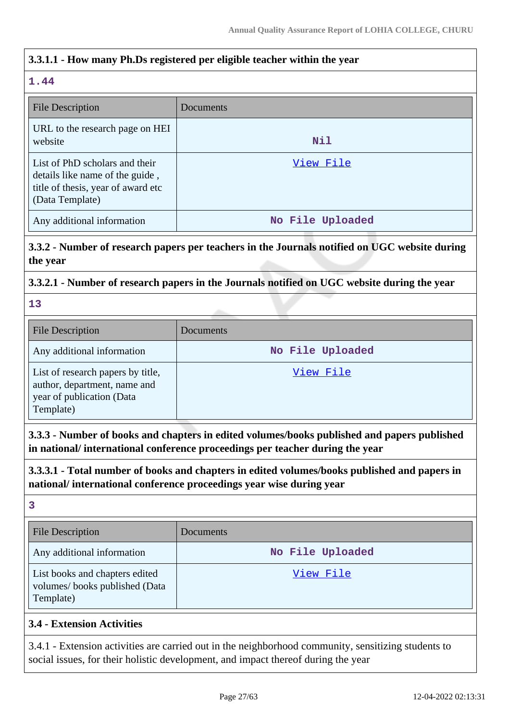## **3.3.1.1 - How many Ph.Ds registered per eligible teacher within the year**

## **1.44**

| File Description                                                                                                           | Documents        |
|----------------------------------------------------------------------------------------------------------------------------|------------------|
| URL to the research page on HEI<br>website                                                                                 | Nil              |
| List of PhD scholars and their<br>details like name of the guide,<br>title of thesis, year of award etc<br>(Data Template) | View File        |
| Any additional information                                                                                                 | No File Uploaded |

# **3.3.2 - Number of research papers per teachers in the Journals notified on UGC website during the year**

#### **3.3.2.1 - Number of research papers in the Journals notified on UGC website during the year**

**13**

| <b>File Description</b>                                                                                     | Documents        |
|-------------------------------------------------------------------------------------------------------------|------------------|
| Any additional information                                                                                  | No File Uploaded |
| List of research papers by title,<br>author, department, name and<br>year of publication (Data<br>Template) | View File        |

**3.3.3 - Number of books and chapters in edited volumes/books published and papers published in national/ international conference proceedings per teacher during the year**

**3.3.3.1 - Total number of books and chapters in edited volumes/books published and papers in national/ international conference proceedings year wise during year**

**3**

| <b>File Description</b>                                                      | Documents        |
|------------------------------------------------------------------------------|------------------|
| Any additional information                                                   | No File Uploaded |
| List books and chapters edited<br>volumes/books published (Data<br>Template) | View File        |

## **3.4 - Extension Activities**

3.4.1 - Extension activities are carried out in the neighborhood community, sensitizing students to social issues, for their holistic development, and impact thereof during the year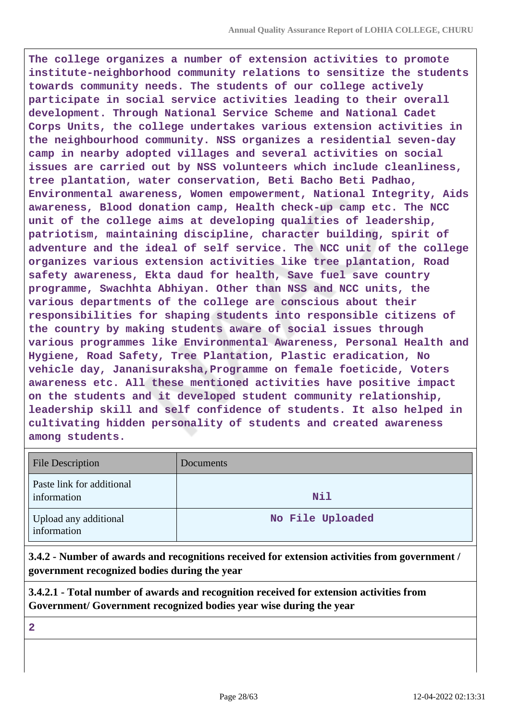**The college organizes a number of extension activities to promote institute-neighborhood community relations to sensitize the students towards community needs. The students of our college actively participate in social service activities leading to their overall development. Through National Service Scheme and National Cadet Corps Units, the college undertakes various extension activities in the neighbourhood community. NSS organizes a residential seven-day camp in nearby adopted villages and several activities on social issues are carried out by NSS volunteers which include cleanliness, tree plantation, water conservation, Beti Bacho Beti Padhao, Environmental awareness, Women empowerment, National Integrity, Aids awareness, Blood donation camp, Health check-up camp etc. The NCC unit of the college aims at developing qualities of leadership, patriotism, maintaining discipline, character building, spirit of adventure and the ideal of self service. The NCC unit of the college organizes various extension activities like tree plantation, Road safety awareness, Ekta daud for health, Save fuel save country programme, Swachhta Abhiyan. Other than NSS and NCC units, the various departments of the college are conscious about their responsibilities for shaping students into responsible citizens of the country by making students aware of social issues through various programmes like Environmental Awareness, Personal Health and Hygiene, Road Safety, Tree Plantation, Plastic eradication, No vehicle day, Jananisuraksha,Programme on female foeticide, Voters awareness etc. All these mentioned activities have positive impact on the students and it developed student community relationship, leadership skill and self confidence of students. It also helped in cultivating hidden personality of students and created awareness among students.**

| <b>File Description</b>                  | Documents        |
|------------------------------------------|------------------|
| Paste link for additional<br>information | Nil              |
| Upload any additional<br>information     | No File Uploaded |

**3.4.2 - Number of awards and recognitions received for extension activities from government / government recognized bodies during the year**

**3.4.2.1 - Total number of awards and recognition received for extension activities from Government/ Government recognized bodies year wise during the year**

**2**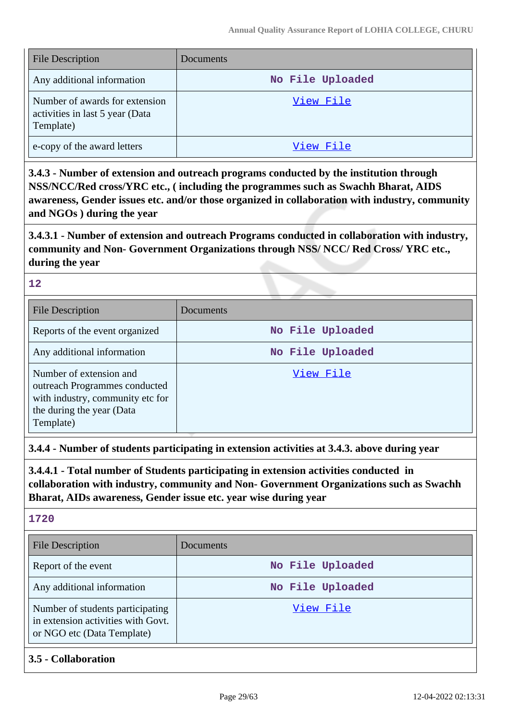| <b>File Description</b>                                                        | Documents        |
|--------------------------------------------------------------------------------|------------------|
| Any additional information                                                     | No File Uploaded |
| Number of awards for extension<br>activities in last 5 year (Data<br>Template) | View File        |
| e-copy of the award letters                                                    | View File        |

**3.4.3 - Number of extension and outreach programs conducted by the institution through NSS/NCC/Red cross/YRC etc., ( including the programmes such as Swachh Bharat, AIDS awareness, Gender issues etc. and/or those organized in collaboration with industry, community and NGOs ) during the year**

**3.4.3.1 - Number of extension and outreach Programs conducted in collaboration with industry, community and Non- Government Organizations through NSS/ NCC/ Red Cross/ YRC etc., during the year**

#### **12**

| File Description                                                                                                                       | Documents        |
|----------------------------------------------------------------------------------------------------------------------------------------|------------------|
| Reports of the event organized                                                                                                         | No File Uploaded |
| Any additional information                                                                                                             | No File Uploaded |
| Number of extension and<br>outreach Programmes conducted<br>with industry, community etc for<br>the during the year (Data<br>Template) | View File        |

**3.4.4 - Number of students participating in extension activities at 3.4.3. above during year**

**3.4.4.1 - Total number of Students participating in extension activities conducted in collaboration with industry, community and Non- Government Organizations such as Swachh Bharat, AIDs awareness, Gender issue etc. year wise during year**

**1720**

| <b>File Description</b>                                                                              | Documents        |
|------------------------------------------------------------------------------------------------------|------------------|
| Report of the event                                                                                  | No File Uploaded |
| Any additional information                                                                           | No File Uploaded |
| Number of students participating<br>in extension activities with Govt.<br>or NGO etc (Data Template) | View File        |

**3.5 - Collaboration**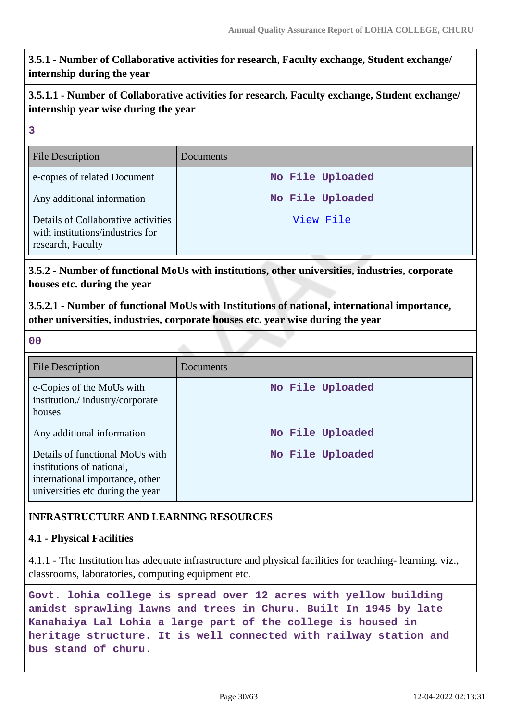**3.5.1 - Number of Collaborative activities for research, Faculty exchange, Student exchange/ internship during the year**

**3.5.1.1 - Number of Collaborative activities for research, Faculty exchange, Student exchange/ internship year wise during the year**

#### **3**

| <b>File Description</b>                                                                      | Documents        |
|----------------------------------------------------------------------------------------------|------------------|
| e-copies of related Document                                                                 | No File Uploaded |
| Any additional information                                                                   | No File Uploaded |
| Details of Collaborative activities<br>with institutions/industries for<br>research, Faculty | View File        |

**3.5.2 - Number of functional MoUs with institutions, other universities, industries, corporate houses etc. during the year**

**3.5.2.1 - Number of functional MoUs with Institutions of national, international importance, other universities, industries, corporate houses etc. year wise during the year**

**00**

| <b>File Description</b>                                                                                                             | Documents        |
|-------------------------------------------------------------------------------------------------------------------------------------|------------------|
| e-Copies of the MoUs with<br>institution./industry/corporate<br>houses                                                              | No File Uploaded |
| Any additional information                                                                                                          | No File Uploaded |
| Details of functional MoUs with<br>institutions of national,<br>international importance, other<br>universities etc during the year | No File Uploaded |

## **INFRASTRUCTURE AND LEARNING RESOURCES**

#### **4.1 - Physical Facilities**

4.1.1 - The Institution has adequate infrastructure and physical facilities for teaching- learning. viz., classrooms, laboratories, computing equipment etc.

**Govt. lohia college is spread over 12 acres with yellow building amidst sprawling lawns and trees in Churu. Built In 1945 by late Kanahaiya Lal Lohia a large part of the college is housed in heritage structure. It is well connected with railway station and bus stand of churu.**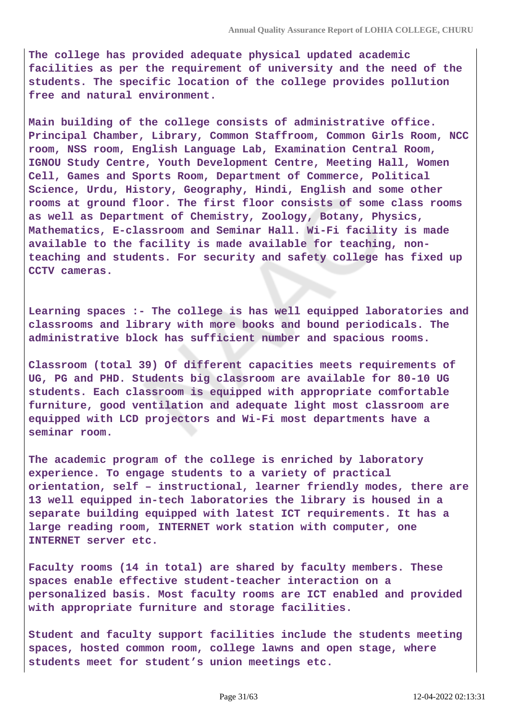**The college has provided adequate physical updated academic facilities as per the requirement of university and the need of the students. The specific location of the college provides pollution free and natural environment.**

**Main building of the college consists of administrative office. Principal Chamber, Library, Common Staffroom, Common Girls Room, NCC room, NSS room, English Language Lab, Examination Central Room, IGNOU Study Centre, Youth Development Centre, Meeting Hall, Women Cell, Games and Sports Room, Department of Commerce, Political Science, Urdu, History, Geography, Hindi, English and some other rooms at ground floor. The first floor consists of some class rooms as well as Department of Chemistry, Zoology, Botany, Physics, Mathematics, E-classroom and Seminar Hall. Wi-Fi facility is made available to the facility is made available for teaching, nonteaching and students. For security and safety college has fixed up CCTV cameras.**

**Learning spaces :- The college is has well equipped laboratories and classrooms and library with more books and bound periodicals. The administrative block has sufficient number and spacious rooms.**

**Classroom (total 39) Of different capacities meets requirements of UG, PG and PHD. Students big classroom are available for 80-10 UG students. Each classroom is equipped with appropriate comfortable furniture, good ventilation and adequate light most classroom are equipped with LCD projectors and Wi-Fi most departments have a seminar room.**

**The academic program of the college is enriched by laboratory experience. To engage students to a variety of practical orientation, self – instructional, learner friendly modes, there are 13 well equipped in-tech laboratories the library is housed in a separate building equipped with latest ICT requirements. It has a large reading room, INTERNET work station with computer, one INTERNET server etc.**

**Faculty rooms (14 in total) are shared by faculty members. These spaces enable effective student-teacher interaction on a personalized basis. Most faculty rooms are ICT enabled and provided with appropriate furniture and storage facilities.**

**Student and faculty support facilities include the students meeting spaces, hosted common room, college lawns and open stage, where students meet for student's union meetings etc.**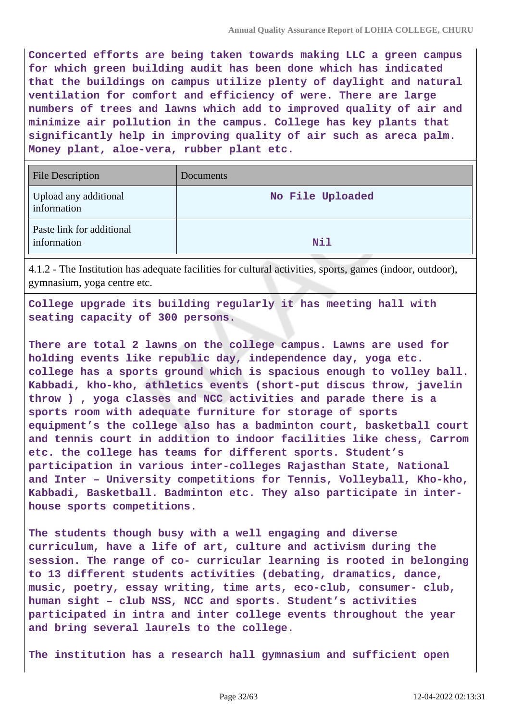**Concerted efforts are being taken towards making LLC a green campus for which green building audit has been done which has indicated that the buildings on campus utilize plenty of daylight and natural ventilation for comfort and efficiency of were. There are large numbers of trees and lawns which add to improved quality of air and minimize air pollution in the campus. College has key plants that significantly help in improving quality of air such as areca palm. Money plant, aloe-vera, rubber plant etc.**

| <b>File Description</b>                  | Documents        |
|------------------------------------------|------------------|
| Upload any additional<br>information     | No File Uploaded |
| Paste link for additional<br>information | <b>Nil</b>       |

4.1.2 - The Institution has adequate facilities for cultural activities, sports, games (indoor, outdoor), gymnasium, yoga centre etc.

**College upgrade its building regularly it has meeting hall with seating capacity of 300 persons.**

**There are total 2 lawns on the college campus. Lawns are used for holding events like republic day, independence day, yoga etc. college has a sports ground which is spacious enough to volley ball. Kabbadi, kho-kho, athletics events (short-put discus throw, javelin throw ) , yoga classes and NCC activities and parade there is a sports room with adequate furniture for storage of sports equipment's the college also has a badminton court, basketball court and tennis court in addition to indoor facilities like chess, Carrom etc. the college has teams for different sports. Student's participation in various inter-colleges Rajasthan State, National and Inter – University competitions for Tennis, Volleyball, Kho-kho, Kabbadi, Basketball. Badminton etc. They also participate in interhouse sports competitions.**

**The students though busy with a well engaging and diverse curriculum, have a life of art, culture and activism during the session. The range of co- curricular learning is rooted in belonging to 13 different students activities (debating, dramatics, dance, music, poetry, essay writing, time arts, eco-club, consumer- club, human sight – club NSS, NCC and sports. Student's activities participated in intra and inter college events throughout the year and bring several laurels to the college.**

**The institution has a research hall gymnasium and sufficient open**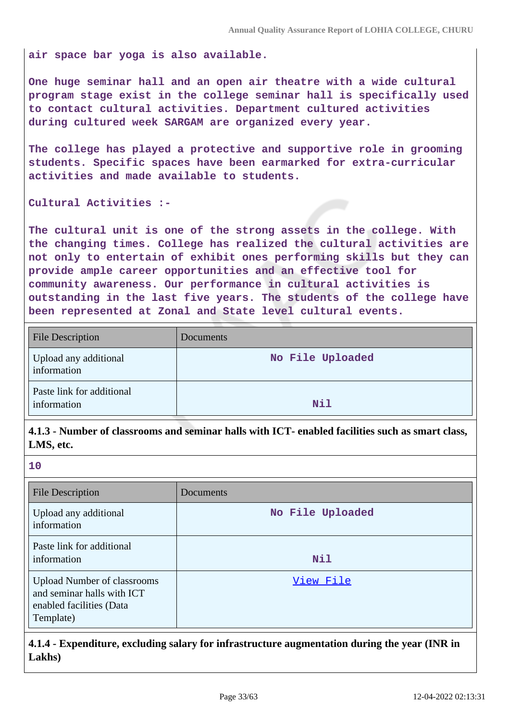**air space bar yoga is also available.**

**One huge seminar hall and an open air theatre with a wide cultural program stage exist in the college seminar hall is specifically used to contact cultural activities. Department cultured activities during cultured week SARGAM are organized every year.**

**The college has played a protective and supportive role in grooming students. Specific spaces have been earmarked for extra-curricular activities and made available to students.**

**Cultural Activities :-**

**The cultural unit is one of the strong assets in the college. With the changing times. College has realized the cultural activities are not only to entertain of exhibit ones performing skills but they can provide ample career opportunities and an effective tool for community awareness. Our performance in cultural activities is outstanding in the last five years. The students of the college have been represented at Zonal and State level cultural events.**

| <b>File Description</b>                  | <b>Documents</b> |
|------------------------------------------|------------------|
| Upload any additional<br>information     | No File Uploaded |
| Paste link for additional<br>information | Nil              |

**4.1.3 - Number of classrooms and seminar halls with ICT- enabled facilities such as smart class, LMS, etc.**

**10**

| <b>File Description</b>                                                                                   | Documents        |
|-----------------------------------------------------------------------------------------------------------|------------------|
| Upload any additional<br>information                                                                      | No File Uploaded |
| Paste link for additional<br>information                                                                  | Nil              |
| <b>Upload Number of classrooms</b><br>and seminar halls with ICT<br>enabled facilities (Data<br>Template) | View File        |

**4.1.4 - Expenditure, excluding salary for infrastructure augmentation during the year (INR in Lakhs)**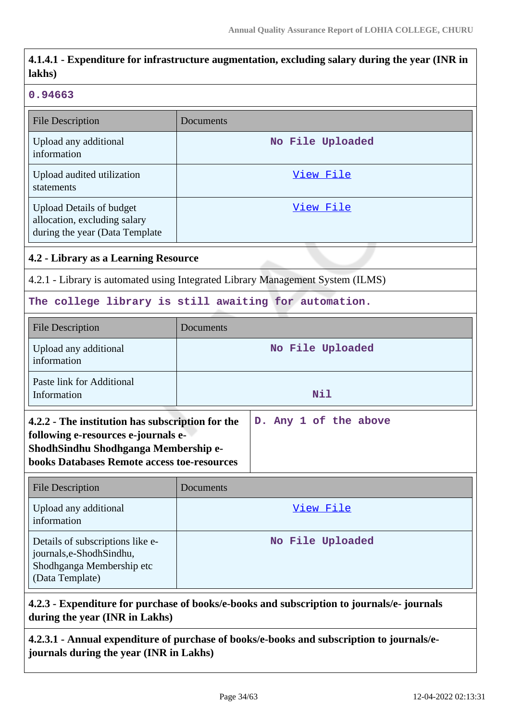| 4.1.4.1 - Expenditure for infrastructure augmentation, excluding salary during the year (INR in<br>lakhs)                                                                                                      |                                                                                |  |
|----------------------------------------------------------------------------------------------------------------------------------------------------------------------------------------------------------------|--------------------------------------------------------------------------------|--|
| 0.94663                                                                                                                                                                                                        |                                                                                |  |
| <b>File Description</b>                                                                                                                                                                                        | Documents                                                                      |  |
| Upload any additional<br>information                                                                                                                                                                           | No File Uploaded                                                               |  |
| Upload audited utilization<br>statements                                                                                                                                                                       | View File                                                                      |  |
| <b>Upload Details of budget</b><br>allocation, excluding salary<br>during the year (Data Template                                                                                                              | View File                                                                      |  |
| 4.2 - Library as a Learning Resource                                                                                                                                                                           |                                                                                |  |
|                                                                                                                                                                                                                | 4.2.1 - Library is automated using Integrated Library Management System (ILMS) |  |
|                                                                                                                                                                                                                | The college library is still awaiting for automation.                          |  |
| <b>File Description</b>                                                                                                                                                                                        | Documents                                                                      |  |
| Upload any additional<br>information                                                                                                                                                                           | No File Uploaded                                                               |  |
| Paste link for Additional<br>Information                                                                                                                                                                       | <b>Nil</b>                                                                     |  |
| 4.2.2 - The institution has subscription for the<br>D. Any 1 of the above<br>following e-resources e-journals e-<br>ShodhSindhu Shodhganga Membership e-<br><b>books Databases Remote access toe-resources</b> |                                                                                |  |
| <b>File Description</b>                                                                                                                                                                                        | Documents                                                                      |  |
| Upload any additional<br>information                                                                                                                                                                           | View File                                                                      |  |
| Details of subscriptions like e-<br>journals,e-ShodhSindhu,<br>Shodhganga Membership etc<br>(Data Template)                                                                                                    | No File Uploaded                                                               |  |

# **4.2.3 - Expenditure for purchase of books/e-books and subscription to journals/e- journals during the year (INR in Lakhs)**

**4.2.3.1 - Annual expenditure of purchase of books/e-books and subscription to journals/ejournals during the year (INR in Lakhs)**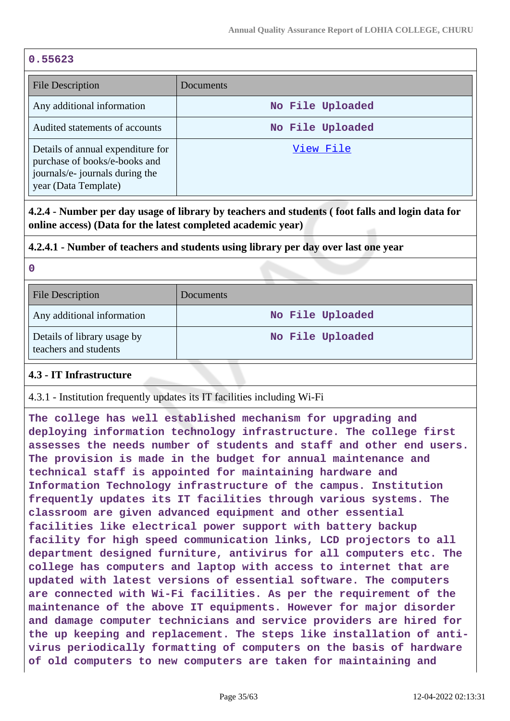#### **0.55623**

| File Description                                                                                                              | <b>Documents</b> |
|-------------------------------------------------------------------------------------------------------------------------------|------------------|
| Any additional information                                                                                                    | No File Uploaded |
| Audited statements of accounts                                                                                                | No File Uploaded |
| Details of annual expenditure for<br>purchase of books/e-books and<br>journals/e- journals during the<br>year (Data Template) | View File        |

**4.2.4 - Number per day usage of library by teachers and students ( foot falls and login data for online access) (Data for the latest completed academic year)**

#### **4.2.4.1 - Number of teachers and students using library per day over last one year**

**0**

| <b>File Description</b>                              | Documents        |
|------------------------------------------------------|------------------|
| Any additional information                           | No File Uploaded |
| Details of library usage by<br>teachers and students | No File Uploaded |

#### **4.3 - IT Infrastructure**

4.3.1 - Institution frequently updates its IT facilities including Wi-Fi

**The college has well established mechanism for upgrading and deploying information technology infrastructure. The college first assesses the needs number of students and staff and other end users. The provision is made in the budget for annual maintenance and technical staff is appointed for maintaining hardware and Information Technology infrastructure of the campus. Institution frequently updates its IT facilities through various systems. The classroom are given advanced equipment and other essential facilities like electrical power support with battery backup facility for high speed communication links, LCD projectors to all department designed furniture, antivirus for all computers etc. The college has computers and laptop with access to internet that are updated with latest versions of essential software. The computers are connected with Wi-Fi facilities. As per the requirement of the maintenance of the above IT equipments. However for major disorder and damage computer technicians and service providers are hired for the up keeping and replacement. The steps like installation of antivirus periodically formatting of computers on the basis of hardware of old computers to new computers are taken for maintaining and**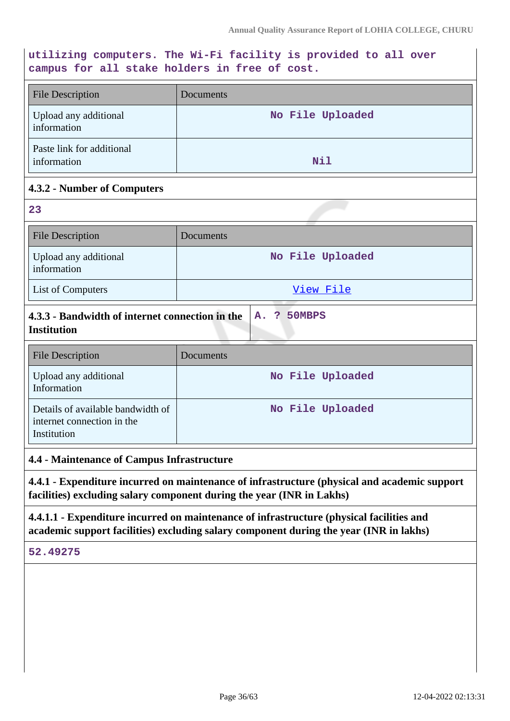#### **utilizing computers. The Wi-Fi facility is provided to all over campus for all stake holders in free of cost.**

| <b>File Description</b>                  | <b>Documents</b> |
|------------------------------------------|------------------|
| Upload any additional<br>information     | No File Uploaded |
| Paste link for additional<br>information | Nil              |

## **4.3.2 - Number of Computers**

| 23                                                                             |                  |
|--------------------------------------------------------------------------------|------------------|
| <b>File Description</b>                                                        | Documents        |
| Upload any additional<br>information                                           | No File Uploaded |
| List of Computers                                                              | View File        |
| 4.3.3 - Bandwidth of internet connection in the<br><b>Institution</b>          | A. ? 50MBPS      |
| <b>File Description</b>                                                        | Documents        |
| Upload any additional<br>Information                                           | No File Uploaded |
| Details of available bandwidth of<br>internet connection in the<br>Institution | No File Uploaded |

#### **4.4 - Maintenance of Campus Infrastructure**

**4.4.1 - Expenditure incurred on maintenance of infrastructure (physical and academic support facilities) excluding salary component during the year (INR in Lakhs)**

**4.4.1.1 - Expenditure incurred on maintenance of infrastructure (physical facilities and academic support facilities) excluding salary component during the year (INR in lakhs)**

**52.49275**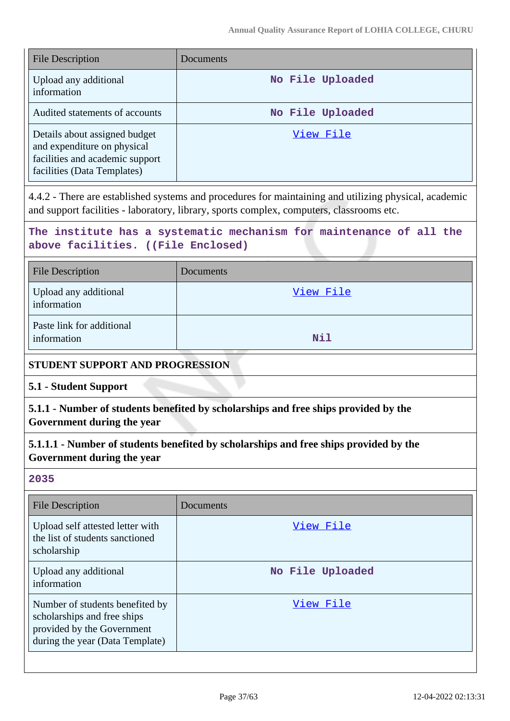| <b>File Description</b>                                                                                                        | Documents        |
|--------------------------------------------------------------------------------------------------------------------------------|------------------|
| Upload any additional<br>information                                                                                           | No File Uploaded |
| Audited statements of accounts                                                                                                 | No File Uploaded |
| Details about assigned budget<br>and expenditure on physical<br>facilities and academic support<br>facilities (Data Templates) | View File        |

4.4.2 - There are established systems and procedures for maintaining and utilizing physical, academic and support facilities - laboratory, library, sports complex, computers, classrooms etc.

**The institute has a systematic mechanism for maintenance of all the above facilities. ((File Enclosed)**

| <b>File Description</b>                  | Documents |
|------------------------------------------|-----------|
| Upload any additional<br>information     | View File |
| Paste link for additional<br>information | Nil       |

#### **STUDENT SUPPORT AND PROGRESSION**

**5.1 - Student Support**

**5.1.1 - Number of students benefited by scholarships and free ships provided by the Government during the year**

**5.1.1.1 - Number of students benefited by scholarships and free ships provided by the Government during the year**

#### **2035**

| <b>File Description</b>                                                                                                         | <b>Documents</b> |
|---------------------------------------------------------------------------------------------------------------------------------|------------------|
| Upload self attested letter with<br>the list of students sanctioned<br>scholarship                                              | View File        |
| Upload any additional<br>information                                                                                            | No File Uploaded |
| Number of students benefited by<br>scholarships and free ships<br>provided by the Government<br>during the year (Data Template) | View File        |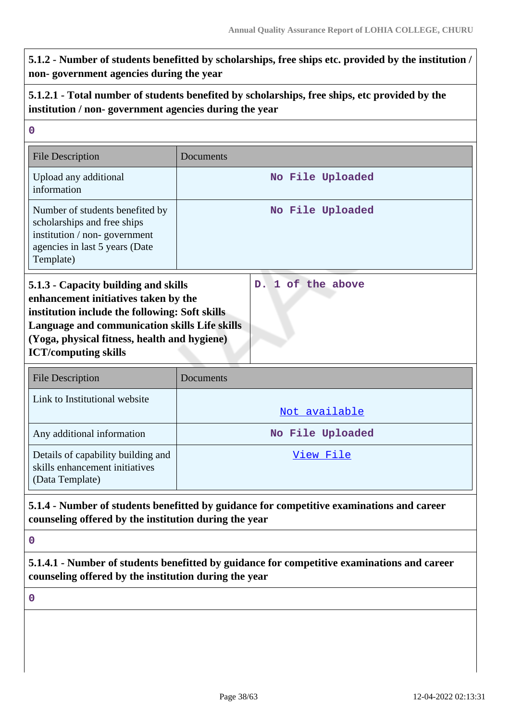# **5.1.2 - Number of students benefitted by scholarships, free ships etc. provided by the institution / non- government agencies during the year**

# **5.1.2.1 - Total number of students benefited by scholarships, free ships, etc provided by the institution / non- government agencies during the year**

| $\mathbf 0$                                                                                                                                                                                                                                                                         |                                                                                             |  |  |
|-------------------------------------------------------------------------------------------------------------------------------------------------------------------------------------------------------------------------------------------------------------------------------------|---------------------------------------------------------------------------------------------|--|--|
| <b>File Description</b>                                                                                                                                                                                                                                                             | Documents                                                                                   |  |  |
| Upload any additional<br>information                                                                                                                                                                                                                                                | No File Uploaded                                                                            |  |  |
| Number of students benefited by<br>scholarships and free ships<br>institution / non-government<br>agencies in last 5 years (Date<br>Template)                                                                                                                                       | No File Uploaded                                                                            |  |  |
| D. 1 of the above<br>5.1.3 - Capacity building and skills<br>enhancement initiatives taken by the<br>institution include the following: Soft skills<br>Language and communication skills Life skills<br>(Yoga, physical fitness, health and hygiene)<br><b>ICT/computing skills</b> |                                                                                             |  |  |
| <b>File Description</b>                                                                                                                                                                                                                                                             | Documents                                                                                   |  |  |
| Link to Institutional website                                                                                                                                                                                                                                                       | Not available                                                                               |  |  |
| Any additional information                                                                                                                                                                                                                                                          | No File Uploaded                                                                            |  |  |
| Details of capability building and<br>skills enhancement initiatives<br>(Data Template)                                                                                                                                                                                             | View File                                                                                   |  |  |
| counseling offered by the institution during the year                                                                                                                                                                                                                               | 5.1.4 - Number of students benefitted by guidance for competitive examinations and career   |  |  |
| $\bf{0}$                                                                                                                                                                                                                                                                            |                                                                                             |  |  |
| counseling offered by the institution during the year                                                                                                                                                                                                                               | 5.1.4.1 - Number of students benefitted by guidance for competitive examinations and career |  |  |
| $\mathbf 0$                                                                                                                                                                                                                                                                         |                                                                                             |  |  |
|                                                                                                                                                                                                                                                                                     |                                                                                             |  |  |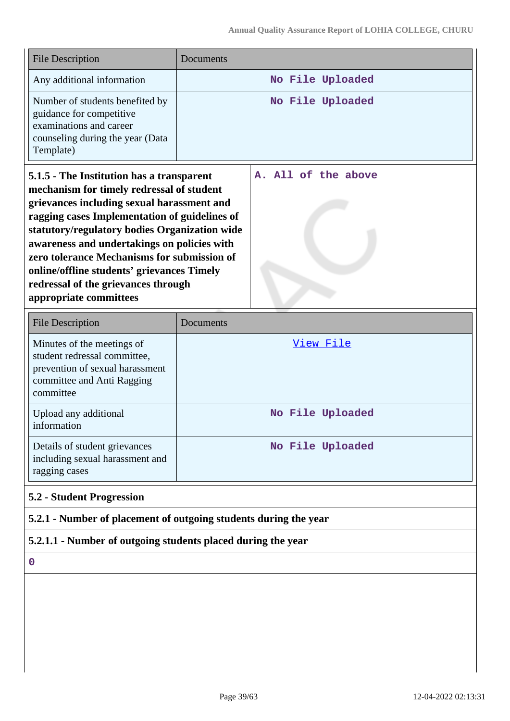| <b>File Description</b>                                                                                                                                                                                                                                                                                                                                                                                                                             | Documents                                                        |
|-----------------------------------------------------------------------------------------------------------------------------------------------------------------------------------------------------------------------------------------------------------------------------------------------------------------------------------------------------------------------------------------------------------------------------------------------------|------------------------------------------------------------------|
| Any additional information                                                                                                                                                                                                                                                                                                                                                                                                                          | No File Uploaded                                                 |
| Number of students benefited by<br>guidance for competitive<br>examinations and career<br>counseling during the year (Data<br>Template)                                                                                                                                                                                                                                                                                                             | No File Uploaded                                                 |
| 5.1.5 - The Institution has a transparent<br>mechanism for timely redressal of student<br>grievances including sexual harassment and<br>ragging cases Implementation of guidelines of<br>statutory/regulatory bodies Organization wide<br>awareness and undertakings on policies with<br>zero tolerance Mechanisms for submission of<br>online/offline students' grievances Timely<br>redressal of the grievances through<br>appropriate committees | A. All of the above                                              |
| <b>File Description</b>                                                                                                                                                                                                                                                                                                                                                                                                                             | Documents                                                        |
| Minutes of the meetings of<br>student redressal committee,<br>prevention of sexual harassment<br>committee and Anti Ragging<br>committee                                                                                                                                                                                                                                                                                                            | View File                                                        |
| Upload any additional<br>information                                                                                                                                                                                                                                                                                                                                                                                                                | No File Uploaded                                                 |
| Details of student grievances<br>including sexual harassment and<br>ragging cases                                                                                                                                                                                                                                                                                                                                                                   | No File Uploaded                                                 |
| <b>5.2 - Student Progression</b>                                                                                                                                                                                                                                                                                                                                                                                                                    |                                                                  |
|                                                                                                                                                                                                                                                                                                                                                                                                                                                     | 5.2.1 - Number of placement of outgoing students during the year |
| 5.2.1.1 - Number of outgoing students placed during the year                                                                                                                                                                                                                                                                                                                                                                                        |                                                                  |
| $\boldsymbol{0}$                                                                                                                                                                                                                                                                                                                                                                                                                                    |                                                                  |
|                                                                                                                                                                                                                                                                                                                                                                                                                                                     |                                                                  |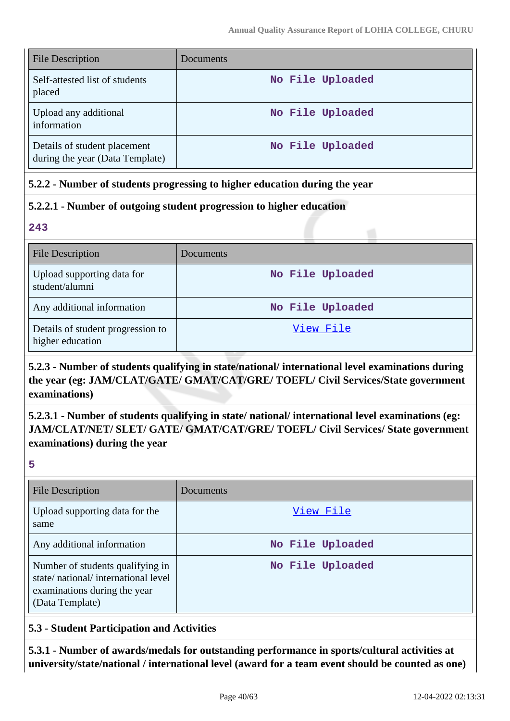| <b>File Description</b>                                         | Documents        |
|-----------------------------------------------------------------|------------------|
| Self-attested list of students<br>placed                        | No File Uploaded |
| Upload any additional<br>information                            | No File Uploaded |
| Details of student placement<br>during the year (Data Template) | No File Uploaded |

## **5.2.2 - Number of students progressing to higher education during the year**

## **5.2.2.1 - Number of outgoing student progression to higher education**

**243**

| <b>File Description</b>                               | Documents        |
|-------------------------------------------------------|------------------|
| Upload supporting data for<br>student/alumni          | No File Uploaded |
| Any additional information                            | No File Uploaded |
| Details of student progression to<br>higher education | View File        |

# **5.2.3 - Number of students qualifying in state/national/ international level examinations during the year (eg: JAM/CLAT/GATE/ GMAT/CAT/GRE/ TOEFL/ Civil Services/State government examinations)**

# **5.2.3.1 - Number of students qualifying in state/ national/ international level examinations (eg: JAM/CLAT/NET/ SLET/ GATE/ GMAT/CAT/GRE/ TOEFL/ Civil Services/ State government examinations) during the year**

**5**

| <b>File Description</b>                                                                                                   | Documents        |
|---------------------------------------------------------------------------------------------------------------------------|------------------|
| Upload supporting data for the<br>same                                                                                    | View File        |
| Any additional information                                                                                                | No File Uploaded |
| Number of students qualifying in<br>state/national/international level<br>examinations during the year<br>(Data Template) | No File Uploaded |

## **5.3 - Student Participation and Activities**

**5.3.1 - Number of awards/medals for outstanding performance in sports/cultural activities at university/state/national / international level (award for a team event should be counted as one)**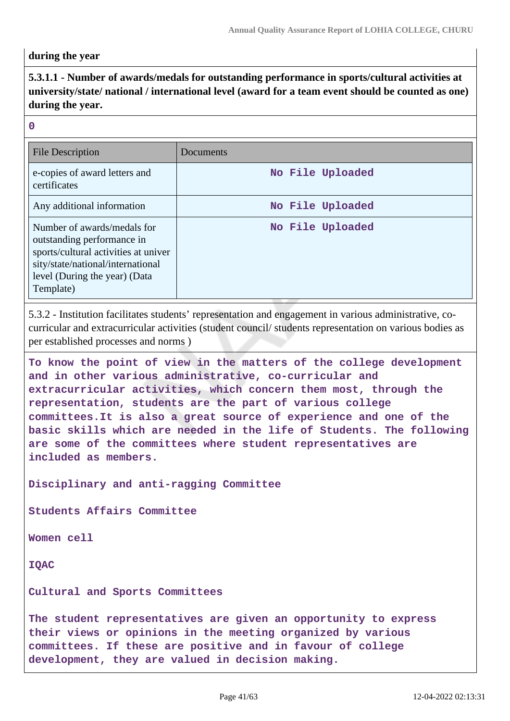#### **during the year**

# **5.3.1.1 - Number of awards/medals for outstanding performance in sports/cultural activities at university/state/ national / international level (award for a team event should be counted as one) during the year.**

#### **0**

| File Description                                                                                                                                                                     | Documents        |
|--------------------------------------------------------------------------------------------------------------------------------------------------------------------------------------|------------------|
| e-copies of award letters and<br>certificates                                                                                                                                        | No File Uploaded |
| Any additional information                                                                                                                                                           | No File Uploaded |
| Number of awards/medals for<br>outstanding performance in<br>sports/cultural activities at univer<br>sity/state/national/international<br>level (During the year) (Data<br>Template) | No File Uploaded |

5.3.2 - Institution facilitates students' representation and engagement in various administrative, cocurricular and extracurricular activities (student council/ students representation on various bodies as per established processes and norms )

**To know the point of view in the matters of the college development and in other various administrative, co-curricular and extracurricular activities, which concern them most, through the representation, students are the part of various college committees.It is also a great source of experience and one of the basic skills which are needed in the life of Students. The following are some of the committees where student representatives are included as members.**

**Disciplinary and anti-ragging Committee**

**Students Affairs Committee**

**Women cell**

**IQAC**

**Cultural and Sports Committees**

**The student representatives are given an opportunity to express their views or opinions in the meeting organized by various committees. If these are positive and in favour of college development, they are valued in decision making.**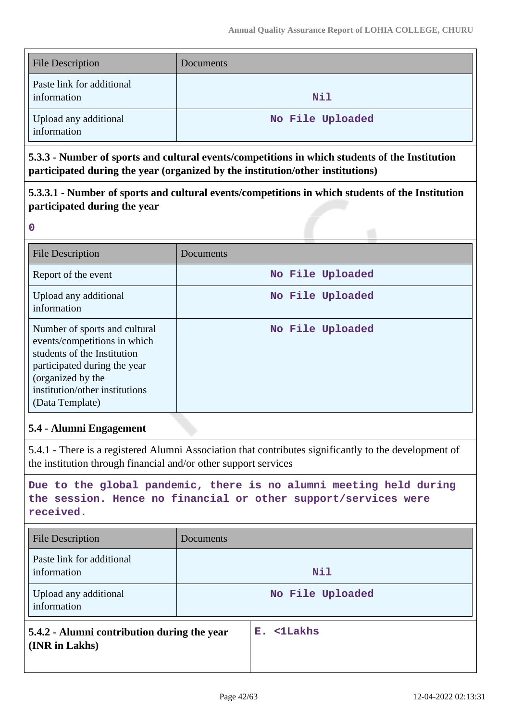| <b>File Description</b>                  | Documents        |
|------------------------------------------|------------------|
| Paste link for additional<br>information | Nil              |
| Upload any additional<br>information     | No File Uploaded |

**5.3.3 - Number of sports and cultural events/competitions in which students of the Institution participated during the year (organized by the institution/other institutions)**

# **5.3.3.1 - Number of sports and cultural events/competitions in which students of the Institution participated during the year**

**0**

| <b>File Description</b>                                                                                                                                                                                | Documents        |
|--------------------------------------------------------------------------------------------------------------------------------------------------------------------------------------------------------|------------------|
| Report of the event                                                                                                                                                                                    | No File Uploaded |
| Upload any additional<br>information                                                                                                                                                                   | No File Uploaded |
| Number of sports and cultural<br>events/competitions in which<br>students of the Institution<br>participated during the year<br>(organized by the<br>institution/other institutions<br>(Data Template) | No File Uploaded |

## **5.4 - Alumni Engagement**

5.4.1 - There is a registered Alumni Association that contributes significantly to the development of the institution through financial and/or other support services

**Due to the global pandemic, there is no alumni meeting held during the session. Hence no financial or other support/services were received.**

| <b>File Description</b>                                       | Documents |                  |
|---------------------------------------------------------------|-----------|------------------|
| Paste link for additional<br>information                      |           | Nil              |
| Upload any additional<br>information                          |           | No File Uploaded |
| 5.4.2 - Alumni contribution during the year<br>(INR in Lakhs) |           | E. <1Lakhs       |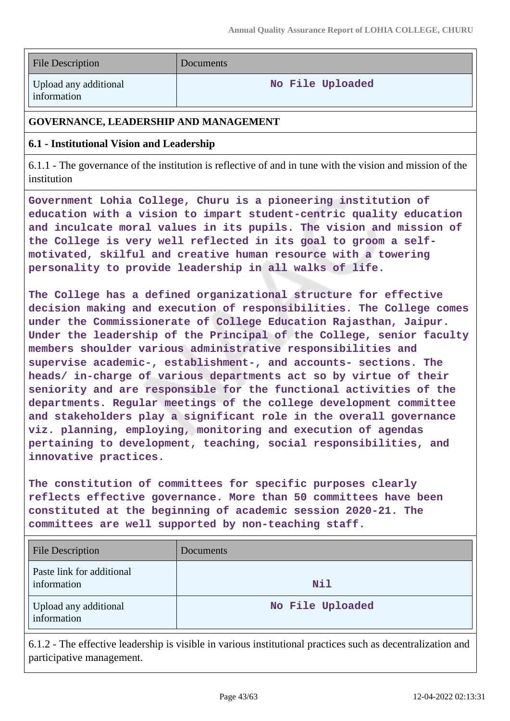| <b>File Description</b> |  |
|-------------------------|--|
|-------------------------|--|

**Documents** 

Upload any additional information

**No File Uploaded**

# **GOVERNANCE, LEADERSHIP AND MANAGEMENT**

# **6.1 - Institutional Vision and Leadership**

6.1.1 - The governance of the institution is reflective of and in tune with the vision and mission of the institution

**Government Lohia College, Churu is a pioneering institution of education with a vision to impart student-centric quality education and inculcate moral values in its pupils. The vision and mission of the College is very well reflected in its goal to groom a selfmotivated, skilful and creative human resource with a towering personality to provide leadership in all walks of life.**

**The College has a defined organizational structure for effective decision making and execution of responsibilities. The College comes under the Commissionerate of College Education Rajasthan, Jaipur. Under the leadership of the Principal of the College, senior faculty members shoulder various administrative responsibilities and supervise academic-, establishment-, and accounts- sections. The heads/ in-charge of various departments act so by virtue of their seniority and are responsible for the functional activities of the departments. Regular meetings of the college development committee and stakeholders play a significant role in the overall governance viz. planning, employing, monitoring and execution of agendas pertaining to development, teaching, social responsibilities, and innovative practices.**

**The constitution of committees for specific purposes clearly reflects effective governance. More than 50 committees have been constituted at the beginning of academic session 2020-21. The committees are well supported by non-teaching staff.**

| <b>File Description</b>                  | Documents        |
|------------------------------------------|------------------|
| Paste link for additional<br>information | Nil              |
| Upload any additional<br>information     | No File Uploaded |

6.1.2 - The effective leadership is visible in various institutional practices such as decentralization and participative management.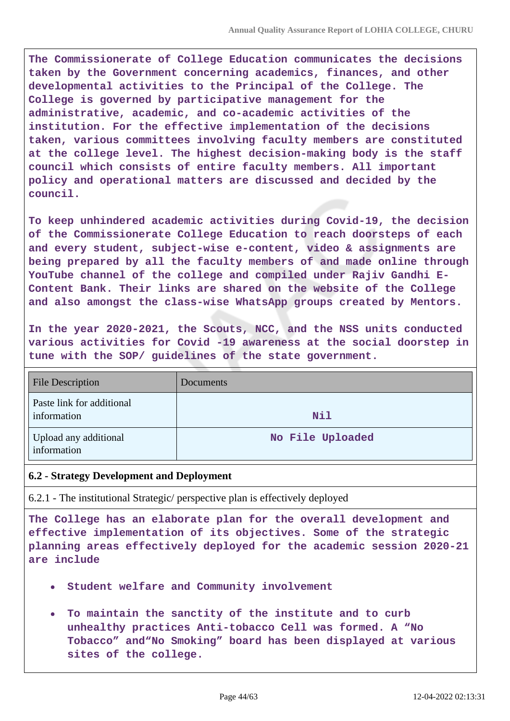**The Commissionerate of College Education communicates the decisions taken by the Government concerning academics, finances, and other developmental activities to the Principal of the College. The College is governed by participative management for the administrative, academic, and co-academic activities of the institution. For the effective implementation of the decisions taken, various committees involving faculty members are constituted at the college level. The highest decision-making body is the staff council which consists of entire faculty members. All important policy and operational matters are discussed and decided by the council.**

**To keep unhindered academic activities during Covid-19, the decision of the Commissionerate College Education to reach doorsteps of each and every student, subject-wise e-content, video & assignments are being prepared by all the faculty members of and made online through YouTube channel of the college and compiled under Rajiv Gandhi E-Content Bank. Their links are shared on the website of the College and also amongst the class-wise WhatsApp groups created by Mentors.**

**In the year 2020-2021, the Scouts, NCC, and the NSS units conducted various activities for Covid -19 awareness at the social doorstep in tune with the SOP/ guidelines of the state government.**

| <b>File Description</b>                  | Documents        |
|------------------------------------------|------------------|
| Paste link for additional<br>information | Nil              |
| Upload any additional<br>information     | No File Uploaded |

#### **6.2 - Strategy Development and Deployment**

6.2.1 - The institutional Strategic/ perspective plan is effectively deployed

**The College has an elaborate plan for the overall development and effective implementation of its objectives. Some of the strategic planning areas effectively deployed for the academic session 2020-21 are include**

- **Student welfare and Community involvement**
- **To maintain the sanctity of the institute and to curb**  $\bullet$ **unhealthy practices Anti-tobacco Cell was formed. A "No Tobacco" and"No Smoking" board has been displayed at various sites of the college.**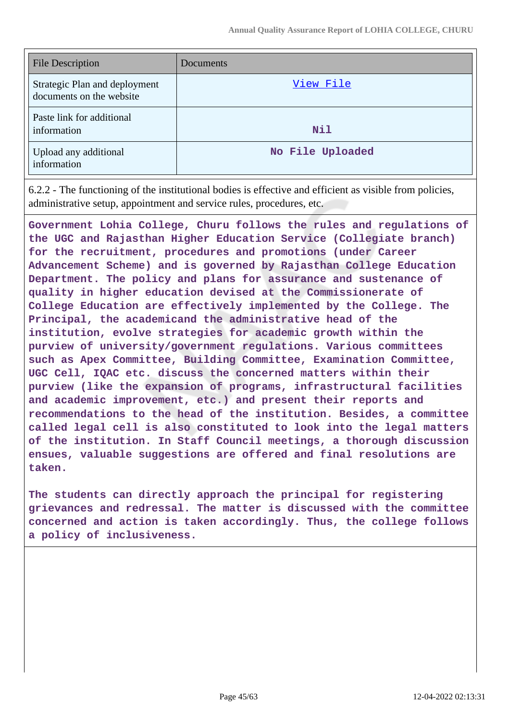| <b>File Description</b>                                   | Documents        |
|-----------------------------------------------------------|------------------|
| Strategic Plan and deployment<br>documents on the website | View File        |
| Paste link for additional<br>information                  | Nil              |
| Upload any additional<br>information                      | No File Uploaded |

6.2.2 - The functioning of the institutional bodies is effective and efficient as visible from policies, administrative setup, appointment and service rules, procedures, etc.

**Government Lohia College, Churu follows the rules and regulations of the UGC and Rajasthan Higher Education Service (Collegiate branch) for the recruitment, procedures and promotions (under Career Advancement Scheme) and is governed by Rajasthan College Education Department. The policy and plans for assurance and sustenance of quality in higher education devised at the Commissionerate of College Education are effectively implemented by the College. The Principal, the academicand the administrative head of the institution, evolve strategies for academic growth within the purview of university/government regulations. Various committees such as Apex Committee, Building Committee, Examination Committee, UGC Cell, IQAC etc. discuss the concerned matters within their purview (like the expansion of programs, infrastructural facilities and academic improvement, etc.) and present their reports and recommendations to the head of the institution. Besides, a committee called legal cell is also constituted to look into the legal matters of the institution. In Staff Council meetings, a thorough discussion ensues, valuable suggestions are offered and final resolutions are taken.**

**The students can directly approach the principal for registering grievances and redressal. The matter is discussed with the committee concerned and action is taken accordingly. Thus, the college follows a policy of inclusiveness.**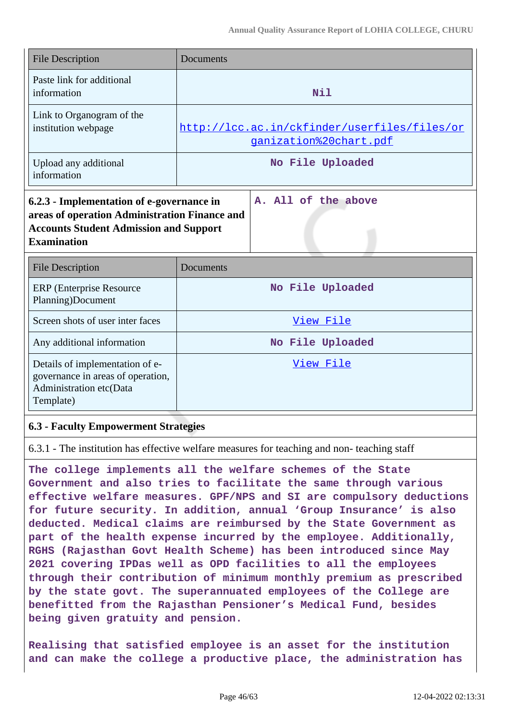| <b>File Description</b>                                                                                                                                           | Documents                                                              |
|-------------------------------------------------------------------------------------------------------------------------------------------------------------------|------------------------------------------------------------------------|
| Paste link for additional<br>information                                                                                                                          | Nil                                                                    |
| Link to Organogram of the<br>institution webpage                                                                                                                  | http://lcc.ac.in/ckfinder/userfiles/files/or<br>ganization%20chart.pdf |
| Upload any additional<br>information                                                                                                                              | No File Uploaded                                                       |
| 6.2.3 - Implementation of e-governance in<br>areas of operation Administration Finance and<br><b>Accounts Student Admission and Support</b><br><b>Examination</b> | A. All of the above                                                    |
| <b>File Description</b>                                                                                                                                           | Documents                                                              |
| <b>ERP</b> (Enterprise Resource<br>Planning)Document                                                                                                              | No File Uploaded                                                       |
| Screen shots of user inter faces                                                                                                                                  | View File                                                              |
| Any additional information                                                                                                                                        | No File Uploaded                                                       |
| Details of implementation of e-<br>governance in areas of operation,<br>Administration etc(Data<br>Template)                                                      | View File                                                              |

#### **6.3 - Faculty Empowerment Strategies**

6.3.1 - The institution has effective welfare measures for teaching and non- teaching staff

**The college implements all the welfare schemes of the State Government and also tries to facilitate the same through various effective welfare measures. GPF/NPS and SI are compulsory deductions for future security. In addition, annual 'Group Insurance' is also deducted. Medical claims are reimbursed by the State Government as part of the health expense incurred by the employee. Additionally, RGHS (Rajasthan Govt Health Scheme) has been introduced since May 2021 covering IPDas well as OPD facilities to all the employees through their contribution of minimum monthly premium as prescribed by the state govt. The superannuated employees of the College are benefitted from the Rajasthan Pensioner's Medical Fund, besides being given gratuity and pension.**

**Realising that satisfied employee is an asset for the institution and can make the college a productive place, the administration has**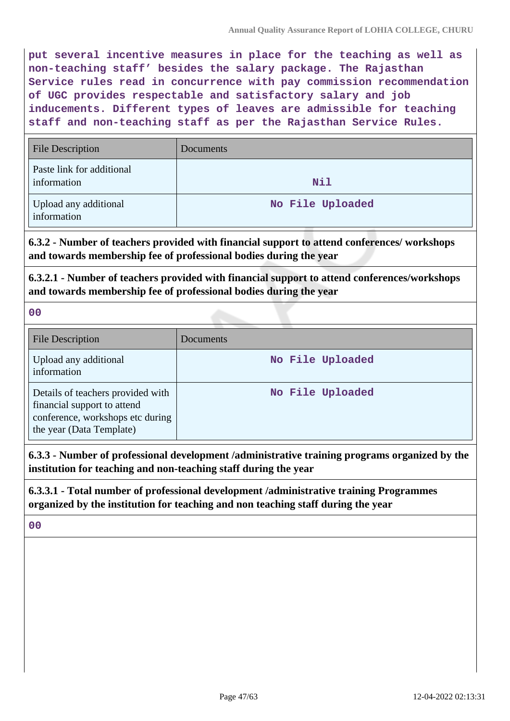**put several incentive measures in place for the teaching as well as non-teaching staff' besides the salary package. The Rajasthan Service rules read in concurrence with pay commission recommendation of UGC provides respectable and satisfactory salary and job inducements. Different types of leaves are admissible for teaching staff and non-teaching staff as per the Rajasthan Service Rules.**

| <b>File Description</b>                  | Documents        |
|------------------------------------------|------------------|
| Paste link for additional<br>information | Nil              |
| Upload any additional<br>information     | No File Uploaded |

**6.3.2 - Number of teachers provided with financial support to attend conferences/ workshops and towards membership fee of professional bodies during the year**

**6.3.2.1 - Number of teachers provided with financial support to attend conferences/workshops and towards membership fee of professional bodies during the year**

**00**

| <b>File Description</b>                                                                                                          | <b>Documents</b> |
|----------------------------------------------------------------------------------------------------------------------------------|------------------|
| Upload any additional<br>information                                                                                             | No File Uploaded |
| Details of teachers provided with<br>financial support to attend<br>conference, workshops etc during<br>the year (Data Template) | No File Uploaded |

**6.3.3 - Number of professional development /administrative training programs organized by the institution for teaching and non-teaching staff during the year**

**6.3.3.1 - Total number of professional development /administrative training Programmes organized by the institution for teaching and non teaching staff during the year**

**00**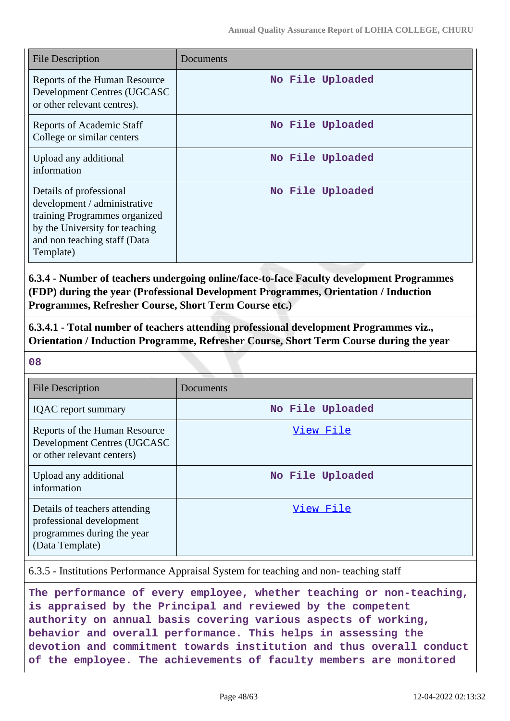| <b>File Description</b>                                                                                                                                                 | Documents        |
|-------------------------------------------------------------------------------------------------------------------------------------------------------------------------|------------------|
| Reports of the Human Resource<br>Development Centres (UGCASC<br>or other relevant centres).                                                                             | No File Uploaded |
| Reports of Academic Staff<br>College or similar centers                                                                                                                 | No File Uploaded |
| Upload any additional<br>information                                                                                                                                    | No File Uploaded |
| Details of professional<br>development / administrative<br>training Programmes organized<br>by the University for teaching<br>and non teaching staff (Data<br>Template) | No File Uploaded |

**6.3.4 - Number of teachers undergoing online/face-to-face Faculty development Programmes (FDP) during the year (Professional Development Programmes, Orientation / Induction Programmes, Refresher Course, Short Term Course etc.)**

**6.3.4.1 - Total number of teachers attending professional development Programmes viz., Orientation / Induction Programme, Refresher Course, Short Term Course during the year**

**08**

| File Description                                                                                           | <b>Documents</b> |
|------------------------------------------------------------------------------------------------------------|------------------|
| <b>IQAC</b> report summary                                                                                 | No File Uploaded |
| Reports of the Human Resource<br>Development Centres (UGCASC<br>or other relevant centers)                 | View File        |
| Upload any additional<br>information                                                                       | No File Uploaded |
| Details of teachers attending<br>professional development<br>programmes during the year<br>(Data Template) | View File        |

6.3.5 - Institutions Performance Appraisal System for teaching and non- teaching staff

**The performance of every employee, whether teaching or non-teaching, is appraised by the Principal and reviewed by the competent authority on annual basis covering various aspects of working, behavior and overall performance. This helps in assessing the devotion and commitment towards institution and thus overall conduct of the employee. The achievements of faculty members are monitored**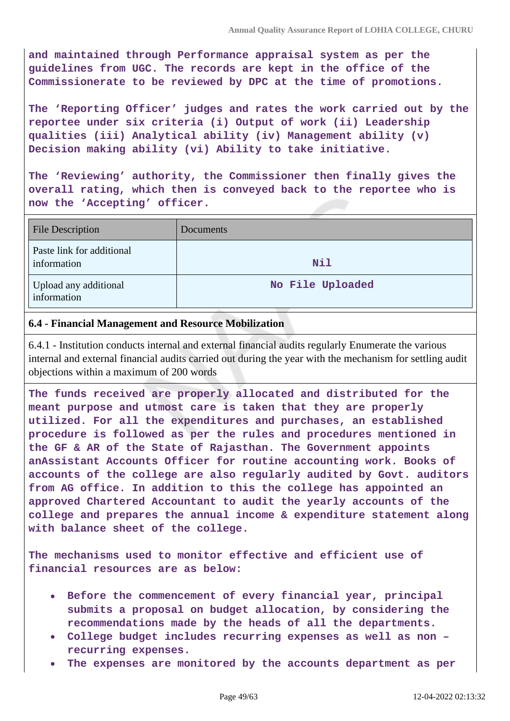**and maintained through Performance appraisal system as per the guidelines from UGC. The records are kept in the office of the Commissionerate to be reviewed by DPC at the time of promotions.**

**The 'Reporting Officer' judges and rates the work carried out by the reportee under six criteria (i) Output of work (ii) Leadership qualities (iii) Analytical ability (iv) Management ability (v) Decision making ability (vi) Ability to take initiative.**

**The 'Reviewing' authority, the Commissioner then finally gives the overall rating, which then is conveyed back to the reportee who is now the 'Accepting' officer.**

| <b>File Description</b>                  | <b>Documents</b> |
|------------------------------------------|------------------|
| Paste link for additional<br>information | Nil              |
| Upload any additional<br>information     | No File Uploaded |

#### **6.4 - Financial Management and Resource Mobilization**

6.4.1 - Institution conducts internal and external financial audits regularly Enumerate the various internal and external financial audits carried out during the year with the mechanism for settling audit objections within a maximum of 200 words

**The funds received are properly allocated and distributed for the meant purpose and utmost care is taken that they are properly utilized. For all the expenditures and purchases, an established procedure is followed as per the rules and procedures mentioned in the GF & AR of the State of Rajasthan. The Government appoints anAssistant Accounts Officer for routine accounting work. Books of accounts of the college are also regularly audited by Govt. auditors from AG office. In addition to this the college has appointed an approved Chartered Accountant to audit the yearly accounts of the college and prepares the annual income & expenditure statement along with balance sheet of the college.**

**The mechanisms used to monitor effective and efficient use of financial resources are as below:**

- **Before the commencement of every financial year, principal submits a proposal on budget allocation, by considering the recommendations made by the heads of all the departments.**
- **College budget includes recurring expenses as well as non – recurring expenses.**
- **The expenses are monitored by the accounts department as per**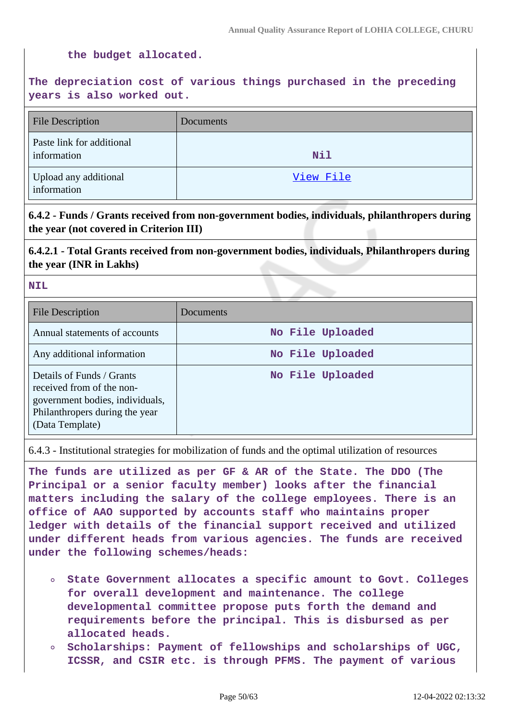#### **the budget allocated.**

## **The depreciation cost of various things purchased in the preceding years is also worked out.**

| <b>File Description</b>                  | Documents  |
|------------------------------------------|------------|
| Paste link for additional<br>information | <b>Nil</b> |
| Upload any additional<br>information     | View File  |

## **6.4.2 - Funds / Grants received from non-government bodies, individuals, philanthropers during the year (not covered in Criterion III)**

**6.4.2.1 - Total Grants received from non-government bodies, individuals, Philanthropers during the year (INR in Lakhs)**

#### **NIL**

| <b>File Description</b>                                                                                                                        | Documents        |
|------------------------------------------------------------------------------------------------------------------------------------------------|------------------|
| Annual statements of accounts                                                                                                                  | No File Uploaded |
| Any additional information                                                                                                                     | No File Uploaded |
| Details of Funds / Grants<br>received from of the non-<br>government bodies, individuals,<br>Philanthropers during the year<br>(Data Template) | No File Uploaded |

6.4.3 - Institutional strategies for mobilization of funds and the optimal utilization of resources

**The funds are utilized as per GF & AR of the State. The DDO (The Principal or a senior faculty member) looks after the financial matters including the salary of the college employees. There is an office of AAO supported by accounts staff who maintains proper ledger with details of the financial support received and utilized under different heads from various agencies. The funds are received under the following schemes/heads:**

- **State Government allocates a specific amount to Govt. Colleges for overall development and maintenance. The college developmental committee propose puts forth the demand and requirements before the principal. This is disbursed as per allocated heads.**
- **Scholarships: Payment of fellowships and scholarships of UGC,**  $\circ$ **ICSSR, and CSIR etc. is through PFMS. The payment of various**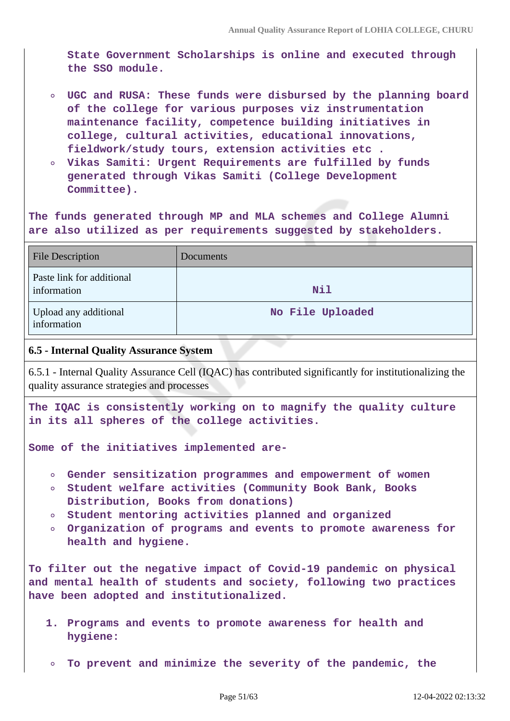**State Government Scholarships is online and executed through the SSO module.**

- **UGC and RUSA: These funds were disbursed by the planning board of the college for various purposes viz instrumentation maintenance facility, competence building initiatives in college, cultural activities, educational innovations, fieldwork/study tours, extension activities etc .**
- **Vikas Samiti: Urgent Requirements are fulfilled by funds generated through Vikas Samiti (College Development Committee).**

**The funds generated through MP and MLA schemes and College Alumni are also utilized as per requirements suggested by stakeholders.**

| <b>File Description</b>                  | Documents        |
|------------------------------------------|------------------|
| Paste link for additional<br>information | Nil              |
| Upload any additional<br>information     | No File Uploaded |

#### **6.5 - Internal Quality Assurance System**

6.5.1 - Internal Quality Assurance Cell (IQAC) has contributed significantly for institutionalizing the quality assurance strategies and processes

**The IQAC is consistently working on to magnify the quality culture in its all spheres of the college activities.**

**Some of the initiatives implemented are-**

- **Gender sensitization programmes and empowerment of women**
- **Student welfare activities (Community Book Bank, Books Distribution, Books from donations)**
- **Student mentoring activities planned and organized**
- **Organization of programs and events to promote awareness for health and hygiene.**

**To filter out the negative impact of Covid-19 pandemic on physical and mental health of students and society, following two practices have been adopted and institutionalized.**

- **1. Programs and events to promote awareness for health and hygiene:**
- **To prevent and minimize the severity of the pandemic, the**  $\circ$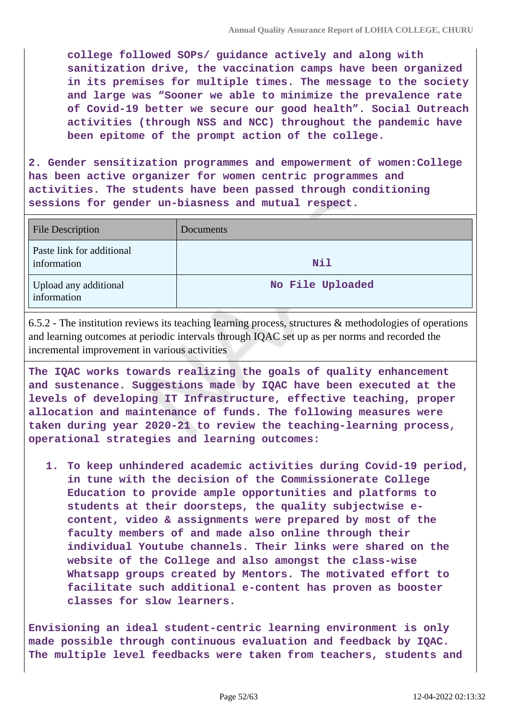**college followed SOPs/ guidance actively and along with sanitization drive, the vaccination camps have been organized in its premises for multiple times. The message to the society and large was "Sooner we able to minimize the prevalence rate of Covid-19 better we secure our good health". Social Outreach activities (through NSS and NCC) throughout the pandemic have been epitome of the prompt action of the college.**

**2. Gender sensitization programmes and empowerment of women:College has been active organizer for women centric programmes and activities. The students have been passed through conditioning sessions for gender un-biasness and mutual respect.**

| <b>File Description</b>                  | Documents        |
|------------------------------------------|------------------|
| Paste link for additional<br>information | Nil              |
| Upload any additional<br>information     | No File Uploaded |

6.5.2 - The institution reviews its teaching learning process, structures & methodologies of operations and learning outcomes at periodic intervals through IQAC set up as per norms and recorded the incremental improvement in various activities

**The IQAC works towards realizing the goals of quality enhancement and sustenance. Suggestions made by IQAC have been executed at the levels of developing IT Infrastructure, effective teaching, proper allocation and maintenance of funds. The following measures were taken during year 2020-21 to review the teaching-learning process, operational strategies and learning outcomes:**

**1. To keep unhindered academic activities during Covid-19 period, in tune with the decision of the Commissionerate College Education to provide ample opportunities and platforms to students at their doorsteps, the quality subjectwise econtent, video & assignments were prepared by most of the faculty members of and made also online through their individual Youtube channels. Their links were shared on the website of the College and also amongst the class-wise Whatsapp groups created by Mentors. The motivated effort to facilitate such additional e-content has proven as booster classes for slow learners.**

**Envisioning an ideal student-centric learning environment is only made possible through continuous evaluation and feedback by IQAC. The multiple level feedbacks were taken from teachers, students and**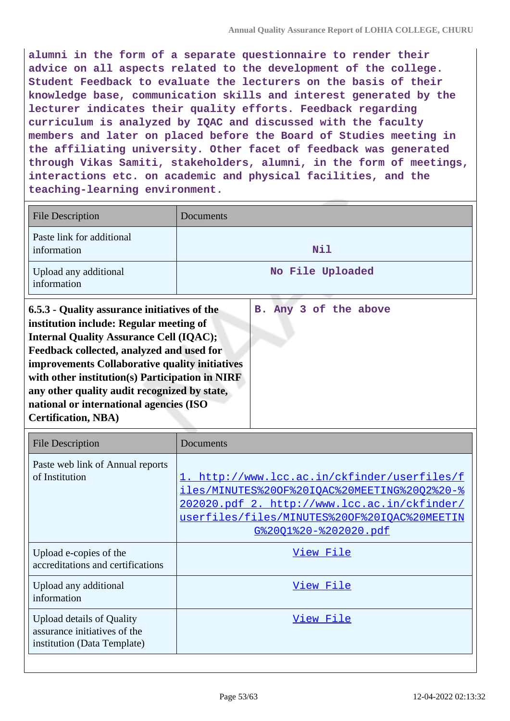**alumni in the form of a separate questionnaire to render their advice on all aspects related to the development of the college. Student Feedback to evaluate the lecturers on the basis of their knowledge base, communication skills and interest generated by the lecturer indicates their quality efforts. Feedback regarding curriculum is analyzed by IQAC and discussed with the faculty members and later on placed before the Board of Studies meeting in the affiliating university. Other facet of feedback was generated through Vikas Samiti, stakeholders, alumni, in the form of meetings, interactions etc. on academic and physical facilities, and the teaching-learning environment.**

| <b>File Description</b>                                                                                                                                                                                                                                                                                                                                                                                              | Documents             |
|----------------------------------------------------------------------------------------------------------------------------------------------------------------------------------------------------------------------------------------------------------------------------------------------------------------------------------------------------------------------------------------------------------------------|-----------------------|
| Paste link for additional<br>information                                                                                                                                                                                                                                                                                                                                                                             | Nil                   |
| Upload any additional<br>information                                                                                                                                                                                                                                                                                                                                                                                 | No File Uploaded      |
| 6.5.3 - Quality assurance initiatives of the<br>institution include: Regular meeting of<br><b>Internal Quality Assurance Cell (IQAC);</b><br>Feedback collected, analyzed and used for<br>improvements Collaborative quality initiatives<br>with other institution(s) Participation in NIRF<br>any other quality audit recognized by state,<br>national or international agencies (ISO<br><b>Certification, NBA)</b> | B. Any 3 of the above |

| <b>File Description</b>                                                                         | Documents                                                                                                                                                                                                                    |
|-------------------------------------------------------------------------------------------------|------------------------------------------------------------------------------------------------------------------------------------------------------------------------------------------------------------------------------|
| Paste web link of Annual reports<br>of Institution                                              | 1. http://www.lcc.ac.in/ckfinder/userfiles/f<br>iles/MINUTES%20OF%20IOAC%20MEETING%20O2%20-%<br>202020.pdf 2. http://www.lcc.ac.in/ckfinder/<br>userfiles/files/MINUTES%20OF%20IOAC%20MEETIN<br><u>G%2001%20-%202020.pdf</u> |
| Upload e-copies of the<br>accreditations and certifications                                     | View File                                                                                                                                                                                                                    |
| Upload any additional<br>information                                                            | View File                                                                                                                                                                                                                    |
| <b>Upload details of Quality</b><br>assurance initiatives of the<br>institution (Data Template) | View File                                                                                                                                                                                                                    |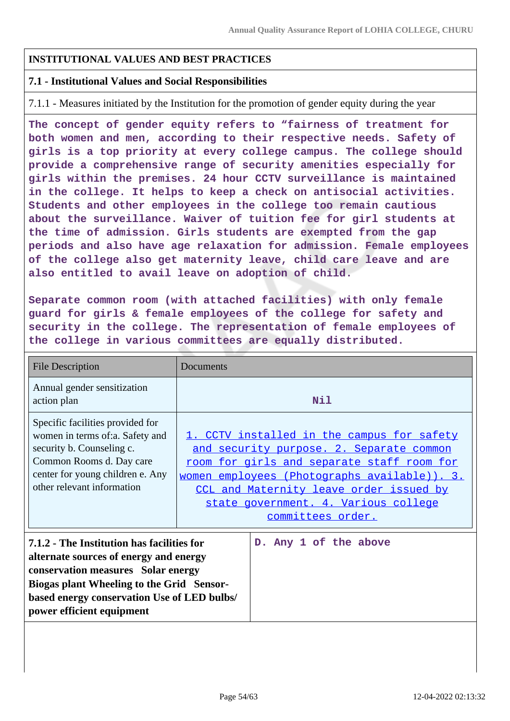#### **INSTITUTIONAL VALUES AND BEST PRACTICES**

#### **7.1 - Institutional Values and Social Responsibilities**

7.1.1 - Measures initiated by the Institution for the promotion of gender equity during the year

**The concept of gender equity refers to "fairness of treatment for both women and men, according to their respective needs. Safety of girls is a top priority at every college campus. The college should provide a comprehensive range of security amenities especially for girls within the premises. 24 hour CCTV surveillance is maintained in the college. It helps to keep a check on antisocial activities. Students and other employees in the college too remain cautious about the surveillance. Waiver of tuition fee for girl students at the time of admission. Girls students are exempted from the gap periods and also have age relaxation for admission. Female employees of the college also get maternity leave, child care leave and are also entitled to avail leave on adoption of child.**

**Separate common room (with attached facilities) with only female guard for girls & female employees of the college for safety and security in the college. The representation of female employees of the college in various committees are equally distributed.**

| <b>File Description</b>                                                                                                                                                                                                | Documents                                                                                                                                                                                                                                                                                   |
|------------------------------------------------------------------------------------------------------------------------------------------------------------------------------------------------------------------------|---------------------------------------------------------------------------------------------------------------------------------------------------------------------------------------------------------------------------------------------------------------------------------------------|
| Annual gender sensitization<br>action plan                                                                                                                                                                             | Nil                                                                                                                                                                                                                                                                                         |
| Specific facilities provided for<br>women in terms of:a. Safety and<br>security b. Counseling c.<br>Common Rooms d. Day care<br>center for young children e. Any<br>other relevant information                         | . CCTV installed in the campus for safety<br>and security purpose. 2. Separate common<br>room for girls and separate staff room for<br>women employees (Photographs available)). 3.<br>CCL and Maternity leave order issued by<br>state government. 4. Various college<br>committees order. |
| 7.1.2 - The Institution has facilities for<br>alternate sources of energy and energy<br>conservation measures Solar energy<br>Biogas plant Wheeling to the Grid Sensor-<br>based energy conservation Use of LED bulbs/ | D. Any 1 of the above                                                                                                                                                                                                                                                                       |

**power efficient equipment**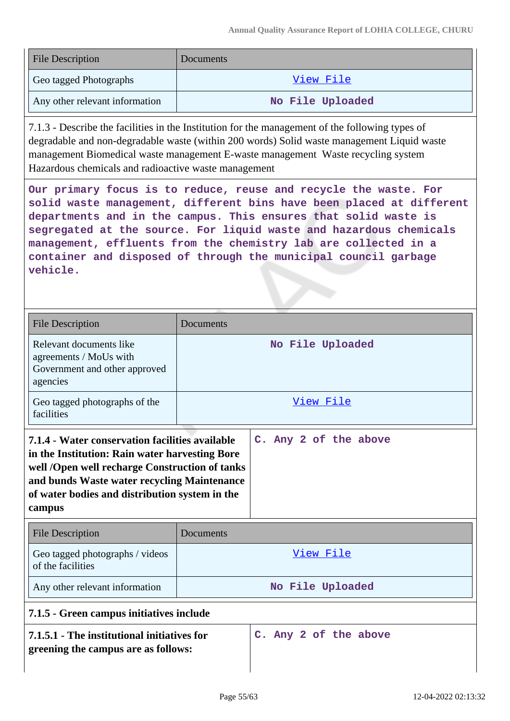| <b>File Description</b>        | Documents        |
|--------------------------------|------------------|
| Geo tagged Photographs         | <u>View File</u> |
| Any other relevant information | No File Uploaded |

7.1.3 - Describe the facilities in the Institution for the management of the following types of degradable and non-degradable waste (within 200 words) Solid waste management Liquid waste management Biomedical waste management E-waste management Waste recycling system Hazardous chemicals and radioactive waste management

**Our primary focus is to reduce, reuse and recycle the waste. For solid waste management, different bins have been placed at different departments and in the campus. This ensures that solid waste is segregated at the source. For liquid waste and hazardous chemicals management, effluents from the chemistry lab are collected in a container and disposed of through the municipal council garbage vehicle.**

| <b>File Description</b>                                                                                                                                                                                                                                        | Documents        |                       |
|----------------------------------------------------------------------------------------------------------------------------------------------------------------------------------------------------------------------------------------------------------------|------------------|-----------------------|
| Relevant documents like<br>agreements / MoUs with<br>Government and other approved<br>agencies                                                                                                                                                                 |                  | No File Uploaded      |
| Geo tagged photographs of the<br>facilities                                                                                                                                                                                                                    |                  | View File             |
| 7.1.4 - Water conservation facilities available<br>in the Institution: Rain water harvesting Bore<br>well /Open well recharge Construction of tanks<br>and bunds Waste water recycling Maintenance<br>of water bodies and distribution system in the<br>campus |                  | C. Any 2 of the above |
| <b>File Description</b>                                                                                                                                                                                                                                        | <b>Documents</b> |                       |
| Geo tagged photographs / videos<br>of the facilities                                                                                                                                                                                                           |                  | View File             |
| Any other relevant information                                                                                                                                                                                                                                 |                  | No File Uploaded      |
| 7.1.5 - Green campus initiatives include                                                                                                                                                                                                                       |                  |                       |
| 7.1.5.1 - The institutional initiatives for<br>greening the campus are as follows:                                                                                                                                                                             |                  | C. Any 2 of the above |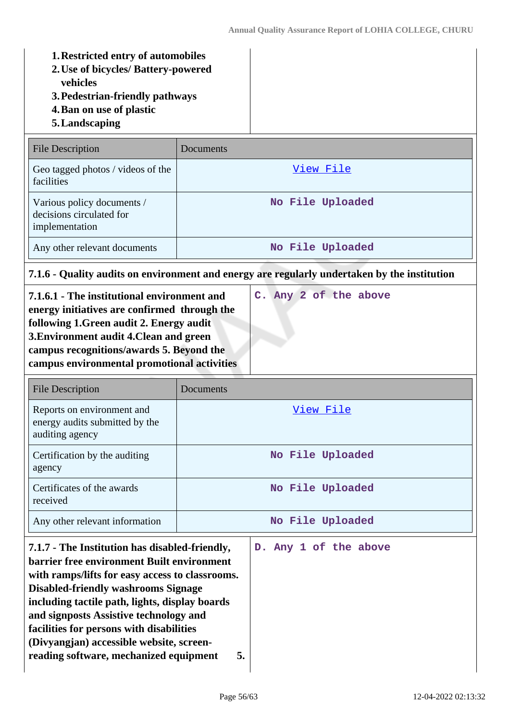- **1.Restricted entry of automobiles**
- **2.Use of bicycles/ Battery-powered vehicles**
- **3.Pedestrian-friendly pathways**
- **4.Ban on use of plastic**
- **5.Landscaping**

| <b>File Description</b>                                                  | Documents        |
|--------------------------------------------------------------------------|------------------|
| Geo tagged photos / videos of the<br>facilities                          | View File        |
| Various policy documents /<br>decisions circulated for<br>implementation | No File Uploaded |
| Any other relevant documents                                             | No File Uploaded |

# **7.1.6 - Quality audits on environment and energy are regularly undertaken by the institution**

| 7.1.6.1 - The institutional environment and<br>energy initiatives are confirmed through the<br>following 1. Green audit 2. Energy audit<br>3. Environment audit 4. Clean and green<br>campus recognitions/awards 5. Beyond the | C. Any 2 of the above |
|--------------------------------------------------------------------------------------------------------------------------------------------------------------------------------------------------------------------------------|-----------------------|
| campus environmental promotional activities                                                                                                                                                                                    |                       |
|                                                                                                                                                                                                                                |                       |

| File Description                                                                | Documents        |
|---------------------------------------------------------------------------------|------------------|
| Reports on environment and<br>energy audits submitted by the<br>auditing agency | View File        |
| Certification by the auditing<br>agency                                         | No File Uploaded |
| Certificates of the awards<br>received                                          | No File Uploaded |
| Any other relevant information                                                  | No File Uploaded |

| 7.1.7 - The Institution has disabled-friendly,<br><b>barrier free environment Built environment</b><br>with ramps/lifts for easy access to classrooms.<br><b>Disabled-friendly washrooms Signage</b><br>including tactile path, lights, display boards<br>and signposts Assistive technology and<br>facilities for persons with disabilities<br>(Divyangjan) accessible website, screen-<br>reading software, mechanized equipment<br>5. | D. Any 1 of the above |
|------------------------------------------------------------------------------------------------------------------------------------------------------------------------------------------------------------------------------------------------------------------------------------------------------------------------------------------------------------------------------------------------------------------------------------------|-----------------------|
|                                                                                                                                                                                                                                                                                                                                                                                                                                          |                       |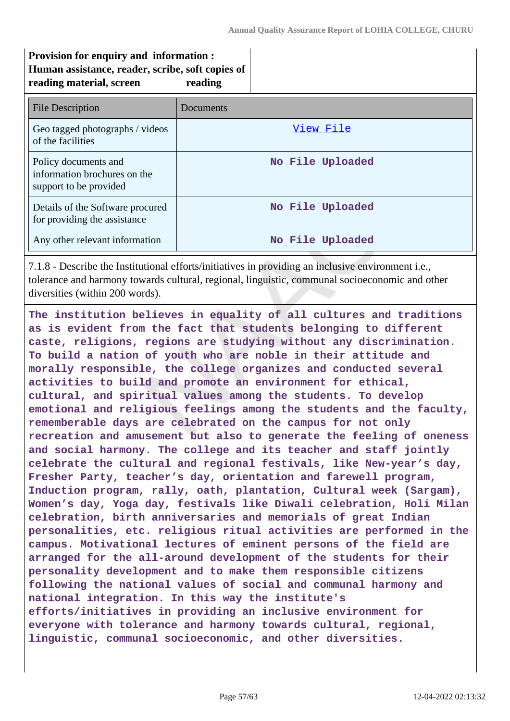## **Provision for enquiry and information : Human assistance, reader, scribe, soft copies of reading material, screen reading**

| File Description                                                               | Documents        |
|--------------------------------------------------------------------------------|------------------|
| Geo tagged photographs / videos<br>of the facilities                           | View File        |
| Policy documents and<br>information brochures on the<br>support to be provided | No File Uploaded |
| Details of the Software procured<br>for providing the assistance               | No File Uploaded |
| Any other relevant information                                                 | No File Uploaded |

7.1.8 - Describe the Institutional efforts/initiatives in providing an inclusive environment i.e., tolerance and harmony towards cultural, regional, linguistic, communal socioeconomic and other diversities (within 200 words).

**The institution believes in equality of all cultures and traditions as is evident from the fact that students belonging to different caste, religions, regions are studying without any discrimination. To build a nation of youth who are noble in their attitude and morally responsible, the college organizes and conducted several activities to build and promote an environment for ethical, cultural, and spiritual values among the students. To develop emotional and religious feelings among the students and the faculty, rememberable days are celebrated on the campus for not only recreation and amusement but also to generate the feeling of oneness and social harmony. The college and its teacher and staff jointly celebrate the cultural and regional festivals, like New-year's day, Fresher Party, teacher's day, orientation and farewell program, Induction program, rally, oath, plantation, Cultural week (Sargam), Women's day, Yoga day, festivals like Diwali celebration, Holi Milan celebration, birth anniversaries and memorials of great Indian personalities, etc. religious ritual activities are performed in the campus. Motivational lectures of eminent persons of the field are arranged for the all-around development of the students for their personality development and to make them responsible citizens following the national values of social and communal harmony and national integration. In this way the institute's efforts/initiatives in providing an inclusive environment for everyone with tolerance and harmony towards cultural, regional, linguistic, communal socioeconomic, and other diversities.**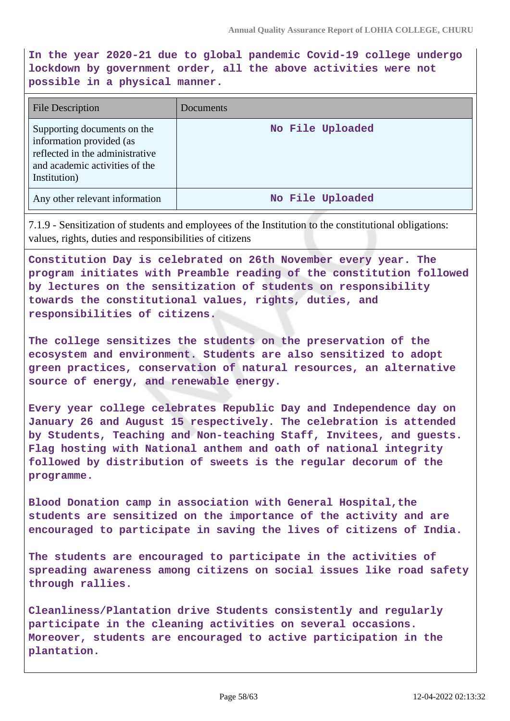**In the year 2020-21 due to global pandemic Covid-19 college undergo lockdown by government order, all the above activities were not possible in a physical manner.**

| <b>File Description</b>                                                                                                                      | Documents        |
|----------------------------------------------------------------------------------------------------------------------------------------------|------------------|
| Supporting documents on the<br>information provided (as<br>reflected in the administrative<br>and academic activities of the<br>Institution) | No File Uploaded |
| Any other relevant information                                                                                                               | No File Uploaded |

7.1.9 - Sensitization of students and employees of the Institution to the constitutional obligations: values, rights, duties and responsibilities of citizens

**Constitution Day is celebrated on 26th November every year. The program initiates with Preamble reading of the constitution followed by lectures on the sensitization of students on responsibility towards the constitutional values, rights, duties, and responsibilities of citizens.**

**The college sensitizes the students on the preservation of the ecosystem and environment. Students are also sensitized to adopt green practices, conservation of natural resources, an alternative source of energy, and renewable energy.**

**Every year college celebrates Republic Day and Independence day on January 26 and August 15 respectively. The celebration is attended by Students, Teaching and Non-teaching Staff, Invitees, and guests. Flag hosting with National anthem and oath of national integrity followed by distribution of sweets is the regular decorum of the programme.**

**Blood Donation camp in association with General Hospital,the students are sensitized on the importance of the activity and are encouraged to participate in saving the lives of citizens of India.**

**The students are encouraged to participate in the activities of spreading awareness among citizens on social issues like road safety through rallies.**

**Cleanliness/Plantation drive Students consistently and regularly participate in the cleaning activities on several occasions. Moreover, students are encouraged to active participation in the plantation.**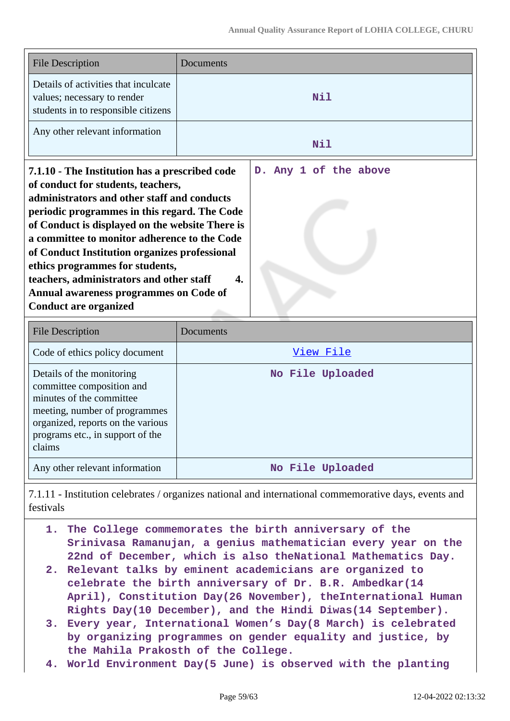| <b>File Description</b>                                                                                    | Documents             |
|------------------------------------------------------------------------------------------------------------|-----------------------|
| Details of activities that inculcate<br>values; necessary to render<br>students in to responsible citizens | Nil                   |
| Any other relevant information                                                                             | Nil                   |
| 7.1.10 - The Institution has a prescribed code<br>of conduct for students, teachers,                       | D. Any 1 of the above |

**administrators and other staff and conducts periodic programmes in this regard. The Code of Conduct is displayed on the website There is a committee to monitor adherence to the Code of Conduct Institution organizes professional ethics programmes for students, teachers, administrators and other staff 4. Annual awareness programmes on Code of Conduct are organized**

| File Description                                                                                                                                                                                       | Documents        |
|--------------------------------------------------------------------------------------------------------------------------------------------------------------------------------------------------------|------------------|
| Code of ethics policy document                                                                                                                                                                         | <u>View File</u> |
| Details of the monitoring<br>committee composition and<br>minutes of the committee<br>meeting, number of programmes<br>organized, reports on the various<br>programs etc., in support of the<br>claims | No File Uploaded |
| Any other relevant information                                                                                                                                                                         | No File Uploaded |

7.1.11 - Institution celebrates / organizes national and international commemorative days, events and festivals

- **1. The College commemorates the birth anniversary of the Srinivasa Ramanujan, a genius mathematician every year on the 22nd of December, which is also theNational Mathematics Day.**
- **2. Relevant talks by eminent academicians are organized to celebrate the birth anniversary of Dr. B.R. Ambedkar(14 April), Constitution Day(26 November), theInternational Human Rights Day(10 December), and the Hindi Diwas(14 September).**
- **3. Every year, International Women's Day(8 March) is celebrated by organizing programmes on gender equality and justice, by the Mahila Prakosth of the College.**
- **4. World Environment Day(5 June) is observed with the planting**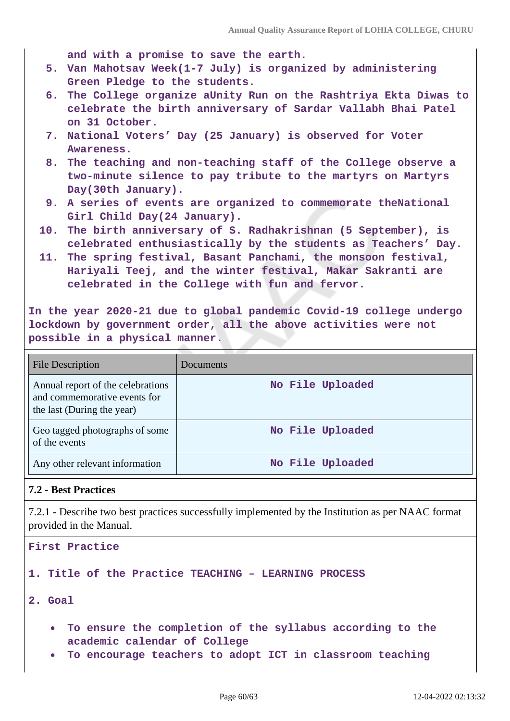**and with a promise to save the earth.**

- **5. Van Mahotsav Week(1-7 July) is organized by administering Green Pledge to the students.**
- **6. The College organize aUnity Run on the Rashtriya Ekta Diwas to celebrate the birth anniversary of Sardar Vallabh Bhai Patel on 31 October.**
- **7. National Voters' Day (25 January) is observed for Voter Awareness.**
- **8. The teaching and non-teaching staff of the College observe a two-minute silence to pay tribute to the martyrs on Martyrs Day(30th January).**
- **9. A series of events are organized to commemorate theNational Girl Child Day(24 January).**
- **10. The birth anniversary of S. Radhakrishnan (5 September), is celebrated enthusiastically by the students as Teachers' Day.**
- **11. The spring festival, Basant Panchami, the monsoon festival, Hariyali Teej, and the winter festival, Makar Sakranti are celebrated in the College with fun and fervor.**

**In the year 2020-21 due to global pandemic Covid-19 college undergo lockdown by government order, all the above activities were not possible in a physical manner.**

| <b>File Description</b>                                                                         | Documents        |
|-------------------------------------------------------------------------------------------------|------------------|
| Annual report of the celebrations<br>and commemorative events for<br>the last (During the year) | No File Uploaded |
| Geo tagged photographs of some<br>of the events                                                 | No File Uploaded |
| Any other relevant information                                                                  | No File Uploaded |

#### **7.2 - Best Practices**

7.2.1 - Describe two best practices successfully implemented by the Institution as per NAAC format provided in the Manual.



**To encourage teachers to adopt ICT in classroom teaching**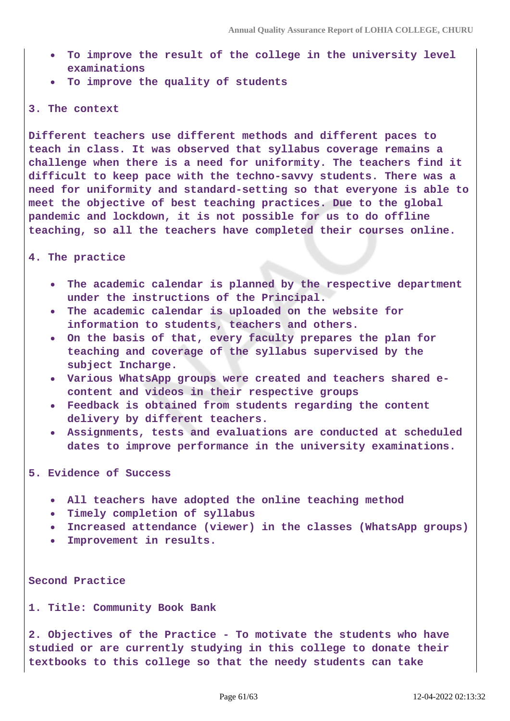- **To improve the result of the college in the university level examinations**
- **To improve the quality of students**

#### **3. The context**

**Different teachers use different methods and different paces to teach in class. It was observed that syllabus coverage remains a challenge when there is a need for uniformity. The teachers find it difficult to keep pace with the techno-savvy students. There was a need for uniformity and standard-setting so that everyone is able to meet the objective of best teaching practices. Due to the global pandemic and lockdown, it is not possible for us to do offline teaching, so all the teachers have completed their courses online.**

#### **4. The practice**

- **The academic calendar is planned by the respective department under the instructions of the Principal.**
- **The academic calendar is uploaded on the website for information to students, teachers and others.**
- **On the basis of that, every faculty prepares the plan for teaching and coverage of the syllabus supervised by the subject Incharge.**
- **Various WhatsApp groups were created and teachers shared econtent and videos in their respective groups**
- **Feedback is obtained from students regarding the content delivery by different teachers.**
- **Assignments, tests and evaluations are conducted at scheduled dates to improve performance in the university examinations.**
- **5. Evidence of Success**
	- **All teachers have adopted the online teaching method**
	- **Timely completion of syllabus**
	- **Increased attendance (viewer) in the classes (WhatsApp groups)**
	- **Improvement in results.**

**Second Practice**

**1. Title: Community Book Bank**

**2. Objectives of the Practice - To motivate the students who have studied or are currently studying in this college to donate their textbooks to this college so that the needy students can take**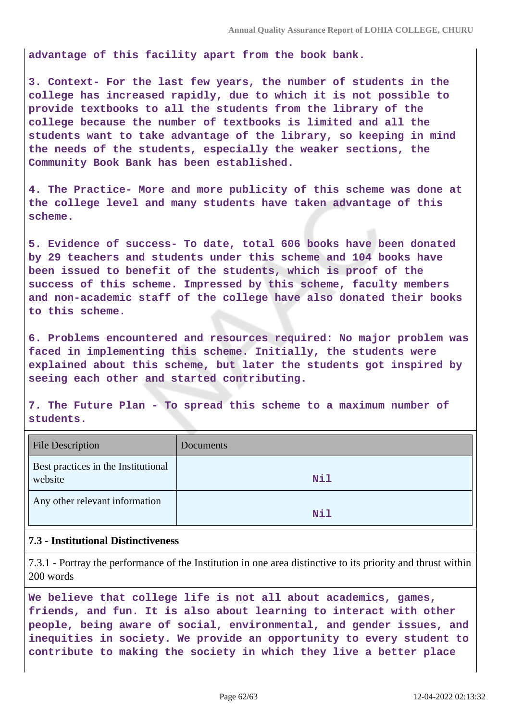**advantage of this facility apart from the book bank.**

**3. Context- For the last few years, the number of students in the college has increased rapidly, due to which it is not possible to provide textbooks to all the students from the library of the college because the number of textbooks is limited and all the students want to take advantage of the library, so keeping in mind the needs of the students, especially the weaker sections, the Community Book Bank has been established.**

**4. The Practice- More and more publicity of this scheme was done at the college level and many students have taken advantage of this scheme.**

**5. Evidence of success- To date, total 606 books have been donated by 29 teachers and students under this scheme and 104 books have been issued to benefit of the students, which is proof of the success of this scheme. Impressed by this scheme, faculty members and non-academic staff of the college have also donated their books to this scheme.**

**6. Problems encountered and resources required: No major problem was faced in implementing this scheme. Initially, the students were explained about this scheme, but later the students got inspired by seeing each other and started contributing.**

**7. The Future Plan - To spread this scheme to a maximum number of students.**

| <b>File Description</b>                        | Documents |
|------------------------------------------------|-----------|
| Best practices in the Institutional<br>website | Nil       |
| Any other relevant information                 | Nil       |

#### **7.3 - Institutional Distinctiveness**

7.3.1 - Portray the performance of the Institution in one area distinctive to its priority and thrust within 200 words

**We believe that college life is not all about academics, games, friends, and fun. It is also about learning to interact with other people, being aware of social, environmental, and gender issues, and inequities in society. We provide an opportunity to every student to contribute to making the society in which they live a better place**